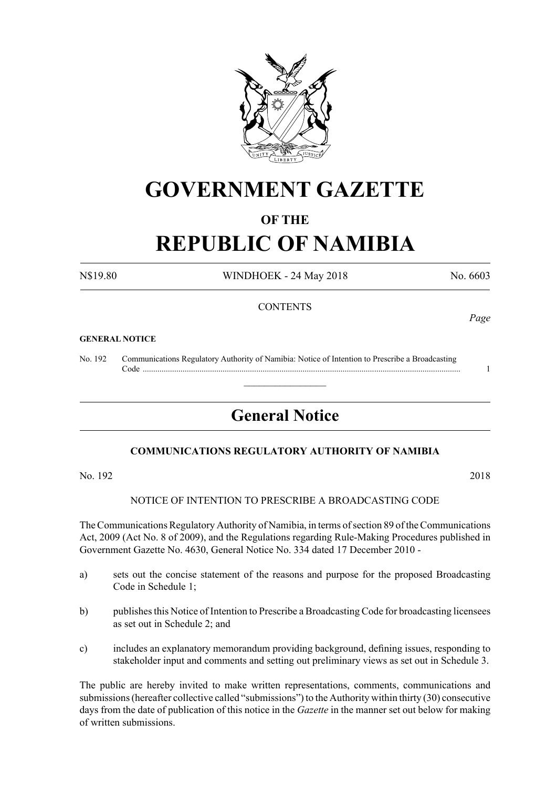

## **GOVERNMENT GAZETTE**

## **OF THE**

# **REPUBLIC OF NAMIBIA**

N\$19.80 WINDHOEK - 24 May 2018 No. 6603

## **CONTENTS**

#### **GENERAL NOTICE**

No. 192 Communications Regulatory Authority of Namibia: Notice of Intention to Prescribe a Broadcasting Code ....................................................................................................................................................... 1

## **General Notice**

 $\overline{\phantom{a}}$  , where  $\overline{\phantom{a}}$ 

## **COMMUNICATIONS REGULATORY AUTHORITY OF NAMIBIA**

No. 192 2018

#### NOTICE OF INTENTION TO PRESCRIBE A BROADCASTING CODE

The Communications Regulatory Authority of Namibia, in terms of section 89 of the Communications Act, 2009 (Act No. 8 of 2009), and the Regulations regarding Rule-Making Procedures published in Government Gazette No. 4630, General Notice No. 334 dated 17 December 2010 -

- a) sets out the concise statement of the reasons and purpose for the proposed Broadcasting Code in Schedule 1;
- b) publishes this Notice of Intention to Prescribe a Broadcasting Code for broadcasting licensees as set out in Schedule 2; and
- c) includes an explanatory memorandum providing background, defining issues, responding to stakeholder input and comments and setting out preliminary views as set out in Schedule 3.

The public are hereby invited to make written representations, comments, communications and submissions (hereafter collective called "submissions") to the Authority within thirty (30) consecutive days from the date of publication of this notice in the *Gazette* in the manner set out below for making of written submissions.

*Page*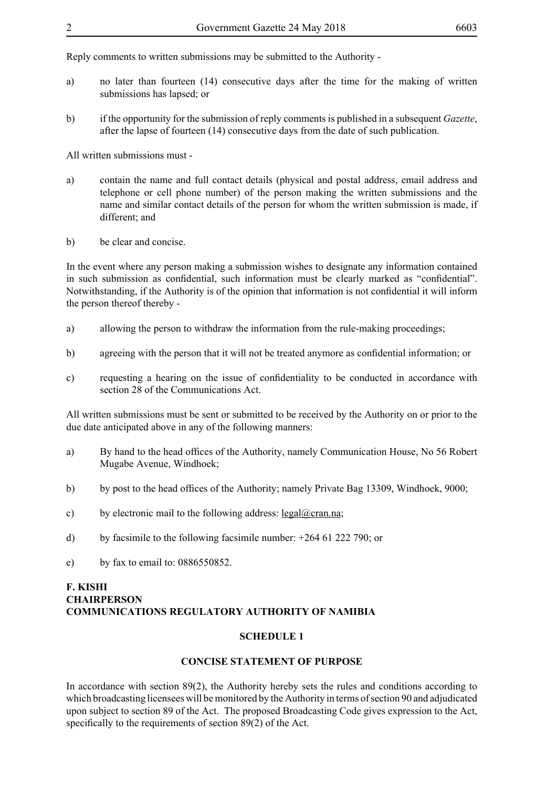Reply comments to written submissions may be submitted to the Authority -

- a) no later than fourteen (14) consecutive days after the time for the making of written submissions has lapsed; or
- b) if the opportunity for the submission of reply comments is published in a subsequent *Gazette*, after the lapse of fourteen (14) consecutive days from the date of such publication.

All written submissions must -

- a) contain the name and full contact details (physical and postal address, email address and telephone or cell phone number) of the person making the written submissions and the name and similar contact details of the person for whom the written submission is made, if different; and
- b) be clear and concise.

In the event where any person making a submission wishes to designate any information contained in such submission as confidential, such information must be clearly marked as "confidential". Notwithstanding, if the Authority is of the opinion that information is not confidential it will inform the person thereof thereby -

- a) allowing the person to withdraw the information from the rule-making proceedings;
- b) agreeing with the person that it will not be treated anymore as confidential information; or
- c) requesting a hearing on the issue of confidentiality to be conducted in accordance with section 28 of the Communications Act.

All written submissions must be sent or submitted to be received by the Authority on or prior to the due date anticipated above in any of the following manners:

- a) By hand to the head offices of the Authority, namely Communication House, No 56 Robert Mugabe Avenue, Windhoek;
- b) by post to the head offices of the Authority; namely Private Bag 13309, Windhoek, 9000;
- c) by electronic mail to the following address: legal@cran.na;
- d) by facsimile to the following facsimile number: +264 61 222 790; or
- e) by fax to email to: 0886550852.

#### **F. KISHI CHAIRPERSON COMMUNICATIONS REGULATORY AUTHORITY OF NAMIBIA**

#### **SCHEDULE 1**

#### **CONCISE STATEMENT OF PURPOSE**

In accordance with section 89(2), the Authority hereby sets the rules and conditions according to which broadcasting licensees will be monitored by the Authority in terms of section 90 and adjudicated upon subject to section 89 of the Act. The proposed Broadcasting Code gives expression to the Act, specifically to the requirements of section 89(2) of the Act.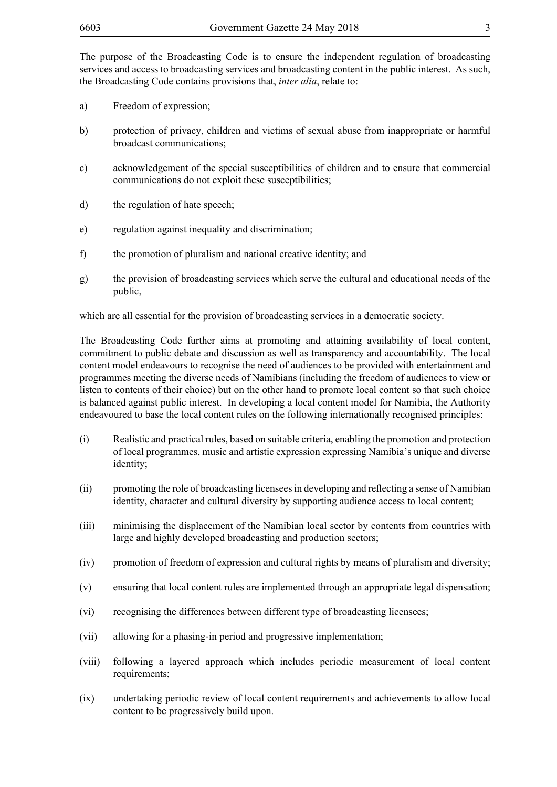The purpose of the Broadcasting Code is to ensure the independent regulation of broadcasting services and access to broadcasting services and broadcasting content in the public interest. As such, the Broadcasting Code contains provisions that, *inter alia*, relate to:

- a) Freedom of expression;
- b) protection of privacy, children and victims of sexual abuse from inappropriate or harmful broadcast communications;
- c) acknowledgement of the special susceptibilities of children and to ensure that commercial communications do not exploit these susceptibilities;
- d) the regulation of hate speech;
- e) regulation against inequality and discrimination;
- f) the promotion of pluralism and national creative identity; and
- g) the provision of broadcasting services which serve the cultural and educational needs of the public,

which are all essential for the provision of broadcasting services in a democratic society.

The Broadcasting Code further aims at promoting and attaining availability of local content, commitment to public debate and discussion as well as transparency and accountability. The local content model endeavours to recognise the need of audiences to be provided with entertainment and programmes meeting the diverse needs of Namibians (including the freedom of audiences to view or listen to contents of their choice) but on the other hand to promote local content so that such choice is balanced against public interest. In developing a local content model for Namibia, the Authority endeavoured to base the local content rules on the following internationally recognised principles:

- (i) Realistic and practical rules, based on suitable criteria, enabling the promotion and protection of local programmes, music and artistic expression expressing Namibia's unique and diverse identity;
- (ii) promoting the role of broadcasting licensees in developing and reflecting a sense of Namibian identity, character and cultural diversity by supporting audience access to local content;
- (iii) minimising the displacement of the Namibian local sector by contents from countries with large and highly developed broadcasting and production sectors;
- (iv) promotion of freedom of expression and cultural rights by means of pluralism and diversity;
- (v) ensuring that local content rules are implemented through an appropriate legal dispensation;
- (vi) recognising the differences between different type of broadcasting licensees;
- (vii) allowing for a phasing-in period and progressive implementation;
- (viii) following a layered approach which includes periodic measurement of local content requirements;
- (ix) undertaking periodic review of local content requirements and achievements to allow local content to be progressively build upon.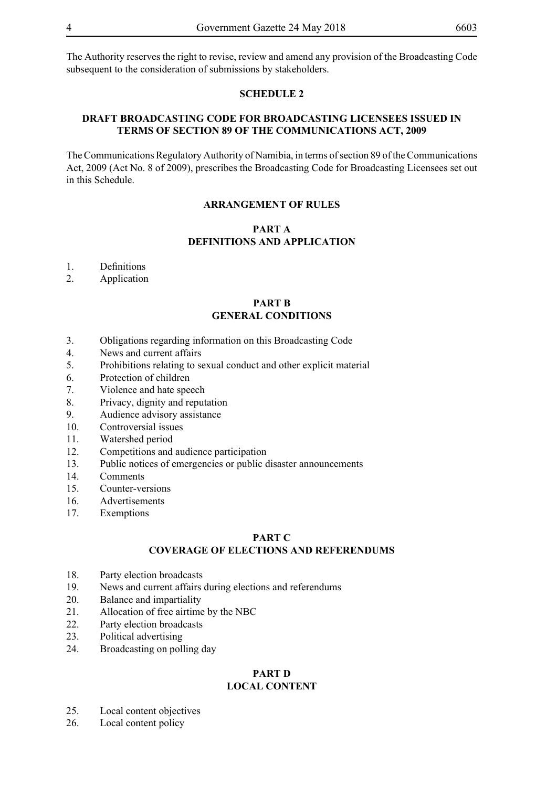The Authority reserves the right to revise, review and amend any provision of the Broadcasting Code subsequent to the consideration of submissions by stakeholders.

#### **SCHEDULE 2**

## **DRAFT BROADCASTING CODE FOR BROADCASTING LICENSEES ISSUED IN TERMS OF SECTION 89 OF THE COMMUNICATIONS ACT, 2009**

The Communications Regulatory Authority of Namibia, in terms of section 89 of the Communications Act, 2009 (Act No. 8 of 2009), prescribes the Broadcasting Code for Broadcasting Licensees set out in this Schedule.

#### **ARRANGEMENT OF RULES**

## **PART A DEFINITIONS AND APPLICATION**

- 1. Definitions
- 2. Application

#### **PART B GENERAL CONDITIONS**

- 3. Obligations regarding information on this Broadcasting Code
- 4. News and current affairs
- 5. Prohibitions relating to sexual conduct and other explicit material
- 6. Protection of children
- 7. Violence and hate speech
- 8. Privacy, dignity and reputation
- 9. Audience advisory assistance
- 10. Controversial issues
- 11. Watershed period
- 12. Competitions and audience participation
- 13. Public notices of emergencies or public disaster announcements
- 14. Comments
- 15. Counter-versions
- 16. Advertisements
- 17. Exemptions

## **PART C**

## **COVERAGE OF ELECTIONS AND REFERENDUMS**

- 18. Party election broadcasts
- 19. News and current affairs during elections and referendums
- 20. Balance and impartiality
- 21. Allocation of free airtime by the NBC
- 22. Party election broadcasts
- 23. Political advertising
- 24. Broadcasting on polling day

#### **PART D LOCAL CONTENT**

- 25. Local content objectives
- 26. Local content policy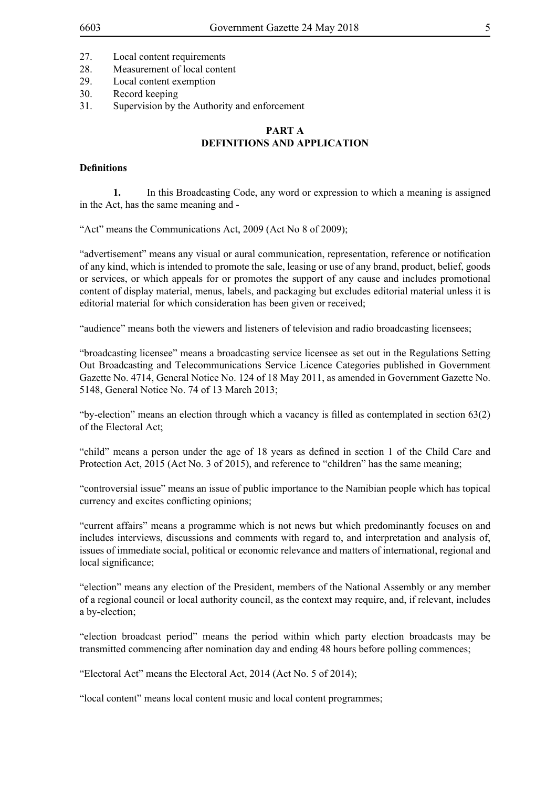- 27. Local content requirements
- 28. Measurement of local content
- 29. Local content exemption
- 30. Record keeping
- 31. Supervision by the Authority and enforcement

## **PART A DEFINITIONS AND APPLICATION**

#### **Definitions**

**1.** In this Broadcasting Code, any word or expression to which a meaning is assigned in the Act, has the same meaning and -

"Act" means the Communications Act, 2009 (Act No 8 of 2009);

"advertisement" means any visual or aural communication, representation, reference or notification of any kind, which is intended to promote the sale, leasing or use of any brand, product, belief, goods or services, or which appeals for or promotes the support of any cause and includes promotional content of display material, menus, labels, and packaging but excludes editorial material unless it is editorial material for which consideration has been given or received;

"audience" means both the viewers and listeners of television and radio broadcasting licensees;

"broadcasting licensee" means a broadcasting service licensee as set out in the Regulations Setting Out Broadcasting and Telecommunications Service Licence Categories published in Government Gazette No. 4714, General Notice No. 124 of 18 May 2011, as amended in Government Gazette No. 5148, General Notice No. 74 of 13 March 2013;

"by-election" means an election through which a vacancy is filled as contemplated in section 63(2) of the Electoral Act;

"child" means a person under the age of 18 years as defined in section 1 of the Child Care and Protection Act, 2015 (Act No. 3 of 2015), and reference to "children" has the same meaning;

"controversial issue" means an issue of public importance to the Namibian people which has topical currency and excites conflicting opinions;

"current affairs" means a programme which is not news but which predominantly focuses on and includes interviews, discussions and comments with regard to, and interpretation and analysis of, issues of immediate social, political or economic relevance and matters of international, regional and local significance;

"election" means any election of the President, members of the National Assembly or any member of a regional council or local authority council, as the context may require, and, if relevant, includes a by-election;

"election broadcast period" means the period within which party election broadcasts may be transmitted commencing after nomination day and ending 48 hours before polling commences;

"Electoral Act" means the Electoral Act, 2014 (Act No. 5 of 2014);

"local content" means local content music and local content programmes;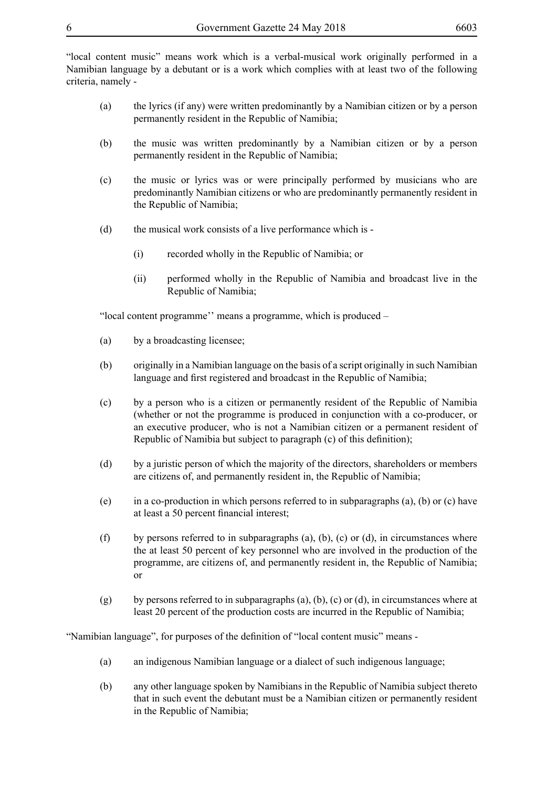"local content music" means work which is a verbal-musical work originally performed in a Namibian language by a debutant or is a work which complies with at least two of the following criteria, namely -

- (a) the lyrics (if any) were written predominantly by a Namibian citizen or by a person permanently resident in the Republic of Namibia;
- (b) the music was written predominantly by a Namibian citizen or by a person permanently resident in the Republic of Namibia;
- (c) the music or lyrics was or were principally performed by musicians who are predominantly Namibian citizens or who are predominantly permanently resident in the Republic of Namibia;
- (d) the musical work consists of a live performance which is
	- (i) recorded wholly in the Republic of Namibia; or
	- (ii) performed wholly in the Republic of Namibia and broadcast live in the Republic of Namibia;

"local content programme'' means a programme, which is produced –

- (a) by a broadcasting licensee;
- (b) originally in a Namibian language on the basis of a script originally in such Namibian language and first registered and broadcast in the Republic of Namibia;
- (c) by a person who is a citizen or permanently resident of the Republic of Namibia (whether or not the programme is produced in conjunction with a co-producer, or an executive producer, who is not a Namibian citizen or a permanent resident of Republic of Namibia but subject to paragraph (c) of this definition);
- (d) by a juristic person of which the majority of the directors, shareholders or members are citizens of, and permanently resident in, the Republic of Namibia;
- (e) in a co-production in which persons referred to in subparagraphs (a), (b) or (c) have at least a 50 percent financial interest;
- (f) by persons referred to in subparagraphs (a), (b), (c) or (d), in circumstances where the at least 50 percent of key personnel who are involved in the production of the programme, are citizens of, and permanently resident in, the Republic of Namibia; or
- (g) by persons referred to in subparagraphs (a), (b), (c) or (d), in circumstances where at least 20 percent of the production costs are incurred in the Republic of Namibia;

"Namibian language", for purposes of the definition of "local content music" means -

- (a) an indigenous Namibian language or a dialect of such indigenous language;
- (b) any other language spoken by Namibians in the Republic of Namibia subject thereto that in such event the debutant must be a Namibian citizen or permanently resident in the Republic of Namibia;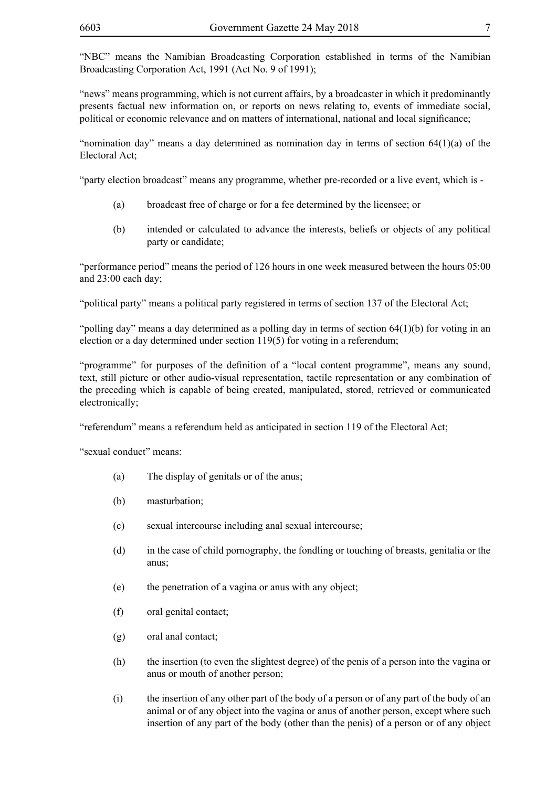"NBC" means the Namibian Broadcasting Corporation established in terms of the Namibian Broadcasting Corporation Act, 1991 (Act No. 9 of 1991);

"news" means programming, which is not current affairs, by a broadcaster in which it predominantly presents factual new information on, or reports on news relating to, events of immediate social, political or economic relevance and on matters of international, national and local significance;

"nomination day" means a day determined as nomination day in terms of section 64(1)(a) of the Electoral Act;

"party election broadcast" means any programme, whether pre-recorded or a live event, which is -

- (a) broadcast free of charge or for a fee determined by the licensee; or
- (b) intended or calculated to advance the interests, beliefs or objects of any political party or candidate;

"performance period" means the period of 126 hours in one week measured between the hours 05:00 and 23:00 each day;

"political party" means a political party registered in terms of section 137 of the Electoral Act;

"polling day" means a day determined as a polling day in terms of section 64(1)(b) for voting in an election or a day determined under section 119(5) for voting in a referendum;

"programme" for purposes of the definition of a "local content programme", means any sound, text, still picture or other audio-visual representation, tactile representation or any combination of the preceding which is capable of being created, manipulated, stored, retrieved or communicated electronically;

"referendum" means a referendum held as anticipated in section 119 of the Electoral Act;

"sexual conduct" means:

- (a) The display of genitals or of the anus;
- (b) masturbation;
- (c) sexual intercourse including anal sexual intercourse;
- (d) in the case of child pornography, the fondling or touching of breasts, genitalia or the anus;
- (e) the penetration of a vagina or anus with any object;
- (f) oral genital contact;
- (g) oral anal contact;
- (h) the insertion (to even the slightest degree) of the penis of a person into the vagina or anus or mouth of another person;
- (i) the insertion of any other part of the body of a person or of any part of the body of an animal or of any object into the vagina or anus of another person, except where such insertion of any part of the body (other than the penis) of a person or of any object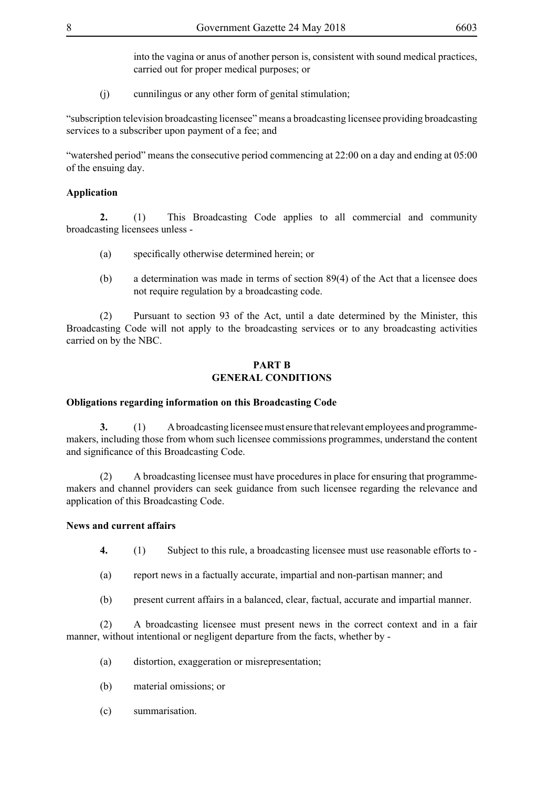into the vagina or anus of another person is, consistent with sound medical practices, carried out for proper medical purposes; or

(j) cunnilingus or any other form of genital stimulation;

"subscription television broadcasting licensee" means a broadcasting licensee providing broadcasting services to a subscriber upon payment of a fee; and

"watershed period" means the consecutive period commencing at 22:00 on a day and ending at 05:00 of the ensuing day.

#### **Application**

**2.** (1) This Broadcasting Code applies to all commercial and community broadcasting licensees unless -

- (a) specifically otherwise determined herein; or
- (b) a determination was made in terms of section 89(4) of the Act that a licensee does not require regulation by a broadcasting code.

(2) Pursuant to section 93 of the Act, until a date determined by the Minister, this Broadcasting Code will not apply to the broadcasting services or to any broadcasting activities carried on by the NBC.

#### **PART B GENERAL CONDITIONS**

#### **Obligations regarding information on this Broadcasting Code**

**3.** (1) A broadcasting licensee must ensure that relevant employees and programmemakers, including those from whom such licensee commissions programmes, understand the content and significance of this Broadcasting Code.

(2) A broadcasting licensee must have procedures in place for ensuring that programmemakers and channel providers can seek guidance from such licensee regarding the relevance and application of this Broadcasting Code.

#### **News and current affairs**

**4.** (1) Subject to this rule, a broadcasting licensee must use reasonable efforts to -

- (a) report news in a factually accurate, impartial and non-partisan manner; and
- (b) present current affairs in a balanced, clear, factual, accurate and impartial manner.

(2) A broadcasting licensee must present news in the correct context and in a fair manner, without intentional or negligent departure from the facts, whether by -

- (a) distortion, exaggeration or misrepresentation;
- (b) material omissions; or
- (c) summarisation.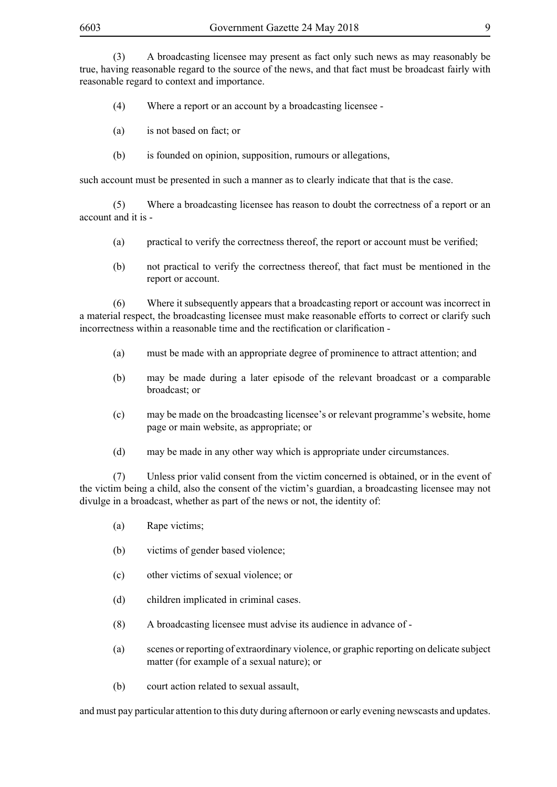(3) A broadcasting licensee may present as fact only such news as may reasonably be true, having reasonable regard to the source of the news, and that fact must be broadcast fairly with reasonable regard to context and importance.

- (4) Where a report or an account by a broadcasting licensee -
- (a) is not based on fact; or
- (b) is founded on opinion, supposition, rumours or allegations,

such account must be presented in such a manner as to clearly indicate that that is the case.

(5) Where a broadcasting licensee has reason to doubt the correctness of a report or an account and it is -

- (a) practical to verify the correctness thereof, the report or account must be verified;
- (b) not practical to verify the correctness thereof, that fact must be mentioned in the report or account.

(6) Where it subsequently appears that a broadcasting report or account was incorrect in a material respect, the broadcasting licensee must make reasonable efforts to correct or clarify such incorrectness within a reasonable time and the rectification or clarification -

- (a) must be made with an appropriate degree of prominence to attract attention; and
- (b) may be made during a later episode of the relevant broadcast or a comparable broadcast; or
- (c) may be made on the broadcasting licensee's or relevant programme's website, home page or main website, as appropriate; or
- (d) may be made in any other way which is appropriate under circumstances.

(7) Unless prior valid consent from the victim concerned is obtained, or in the event of the victim being a child, also the consent of the victim's guardian, a broadcasting licensee may not divulge in a broadcast, whether as part of the news or not, the identity of:

- (a) Rape victims;
- (b) victims of gender based violence;
- (c) other victims of sexual violence; or
- (d) children implicated in criminal cases.
- (8) A broadcasting licensee must advise its audience in advance of -
- (a) scenes or reporting of extraordinary violence, or graphic reporting on delicate subject matter (for example of a sexual nature); or
- (b) court action related to sexual assault,

and must pay particular attention to this duty during afternoon or early evening newscasts and updates.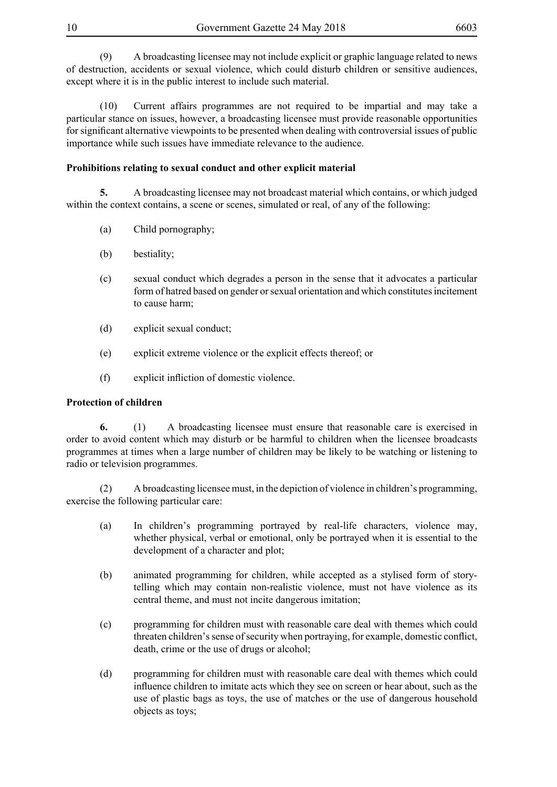(9) A broadcasting licensee may not include explicit or graphic language related to news of destruction, accidents or sexual violence, which could disturb children or sensitive audiences, except where it is in the public interest to include such material.

(10) Current affairs programmes are not required to be impartial and may take a particular stance on issues, however, a broadcasting licensee must provide reasonable opportunities for significant alternative viewpoints to be presented when dealing with controversial issues of public importance while such issues have immediate relevance to the audience.

## **Prohibitions relating to sexual conduct and other explicit material**

**5.** A broadcasting licensee may not broadcast material which contains, or which judged within the context contains, a scene or scenes, simulated or real, of any of the following:

- (a) Child pornography;
- (b) bestiality;
- (c) sexual conduct which degrades a person in the sense that it advocates a particular form of hatred based on gender or sexual orientation and which constitutes incitement to cause harm;
- (d) explicit sexual conduct;
- (e) explicit extreme violence or the explicit effects thereof; or
- (f) explicit infliction of domestic violence.

## **Protection of children**

**6.** (1) A broadcasting licensee must ensure that reasonable care is exercised in order to avoid content which may disturb or be harmful to children when the licensee broadcasts programmes at times when a large number of children may be likely to be watching or listening to radio or television programmes.

(2) A broadcasting licensee must, in the depiction of violence in children's programming, exercise the following particular care:

- (a) In children's programming portrayed by real-life characters, violence may, whether physical, verbal or emotional, only be portrayed when it is essential to the development of a character and plot;
- (b) animated programming for children, while accepted as a stylised form of storytelling which may contain non-realistic violence, must not have violence as its central theme, and must not incite dangerous imitation;
- (c) programming for children must with reasonable care deal with themes which could threaten children's sense of security when portraying, for example, domestic conflict, death, crime or the use of drugs or alcohol;
- (d) programming for children must with reasonable care deal with themes which could influence children to imitate acts which they see on screen or hear about, such as the use of plastic bags as toys, the use of matches or the use of dangerous household objects as toys;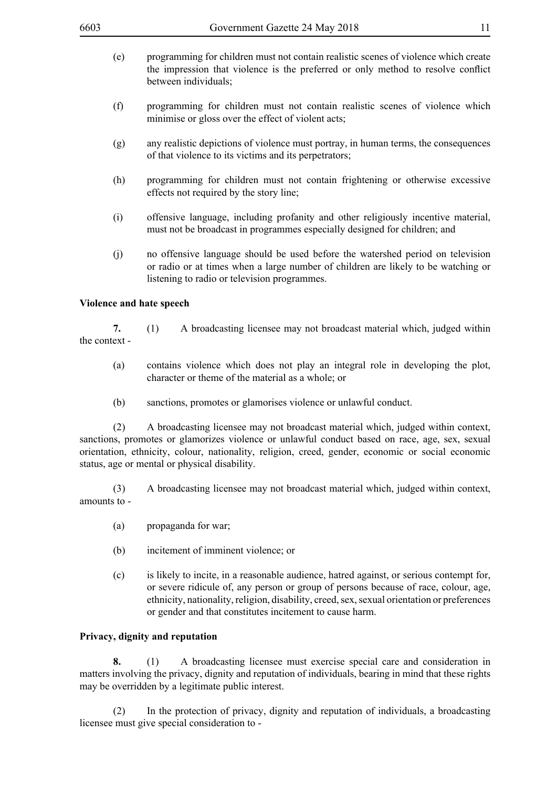- (e) programming for children must not contain realistic scenes of violence which create the impression that violence is the preferred or only method to resolve conflict between individuals;
- (f) programming for children must not contain realistic scenes of violence which minimise or gloss over the effect of violent acts;
- (g) any realistic depictions of violence must portray, in human terms, the consequences of that violence to its victims and its perpetrators;
- (h) programming for children must not contain frightening or otherwise excessive effects not required by the story line;
- (i) offensive language, including profanity and other religiously incentive material, must not be broadcast in programmes especially designed for children; and
- (j) no offensive language should be used before the watershed period on television or radio or at times when a large number of children are likely to be watching or listening to radio or television programmes.

#### **Violence and hate speech**

**7.** (1) A broadcasting licensee may not broadcast material which, judged within the context -

- (a) contains violence which does not play an integral role in developing the plot, character or theme of the material as a whole; or
- (b) sanctions, promotes or glamorises violence or unlawful conduct.

(2) A broadcasting licensee may not broadcast material which, judged within context, sanctions, promotes or glamorizes violence or unlawful conduct based on race, age, sex, sexual orientation, ethnicity, colour, nationality, religion, creed, gender, economic or social economic status, age or mental or physical disability.

(3) A broadcasting licensee may not broadcast material which, judged within context, amounts to -

- (a) propaganda for war;
- (b) incitement of imminent violence; or
- (c) is likely to incite, in a reasonable audience, hatred against, or serious contempt for, or severe ridicule of, any person or group of persons because of race, colour, age, ethnicity, nationality, religion, disability, creed, sex, sexual orientation or preferences or gender and that constitutes incitement to cause harm.

#### **Privacy, dignity and reputation**

**8.** (1) A broadcasting licensee must exercise special care and consideration in matters involving the privacy, dignity and reputation of individuals, bearing in mind that these rights may be overridden by a legitimate public interest.

(2) In the protection of privacy, dignity and reputation of individuals, a broadcasting licensee must give special consideration to -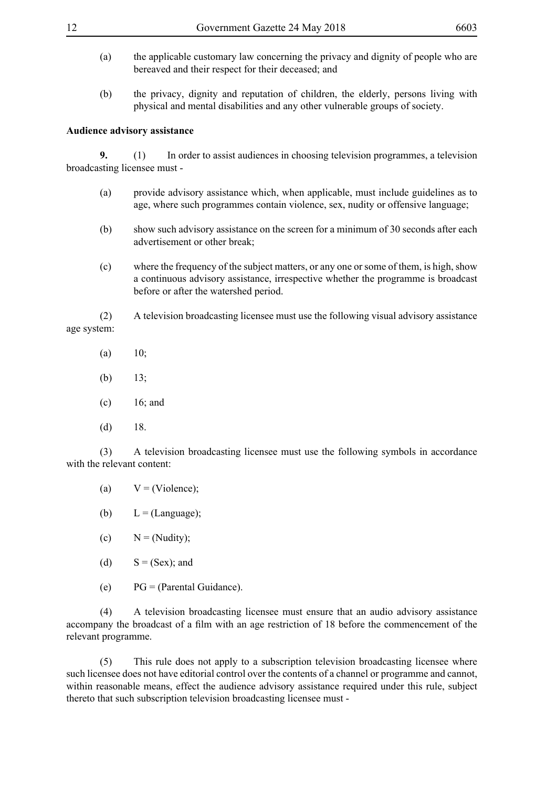- (a) the applicable customary law concerning the privacy and dignity of people who are bereaved and their respect for their deceased; and
- (b) the privacy, dignity and reputation of children, the elderly, persons living with physical and mental disabilities and any other vulnerable groups of society.

#### **Audience advisory assistance**

**9.** (1) In order to assist audiences in choosing television programmes, a television broadcasting licensee must -

- (a) provide advisory assistance which, when applicable, must include guidelines as to age, where such programmes contain violence, sex, nudity or offensive language;
- (b) show such advisory assistance on the screen for a minimum of 30 seconds after each advertisement or other break;
- (c) where the frequency of the subject matters, or any one or some of them, is high, show a continuous advisory assistance, irrespective whether the programme is broadcast before or after the watershed period.

(2) A television broadcasting licensee must use the following visual advisory assistance age system:

- (a)  $10;$
- (b)  $13$ ;
- (c) 16; and
- $(d)$  18.

(3) A television broadcasting licensee must use the following symbols in accordance with the relevant content:

- (a)  $V = (Violence);$
- (b)  $L = (Language);$
- (c)  $N = (Nudity)$ :
- (d)  $S = (Sex);$  and
- (e) PG = (Parental Guidance).

(4) A television broadcasting licensee must ensure that an audio advisory assistance accompany the broadcast of a film with an age restriction of 18 before the commencement of the relevant programme.

(5) This rule does not apply to a subscription television broadcasting licensee where such licensee does not have editorial control over the contents of a channel or programme and cannot, within reasonable means, effect the audience advisory assistance required under this rule, subject thereto that such subscription television broadcasting licensee must -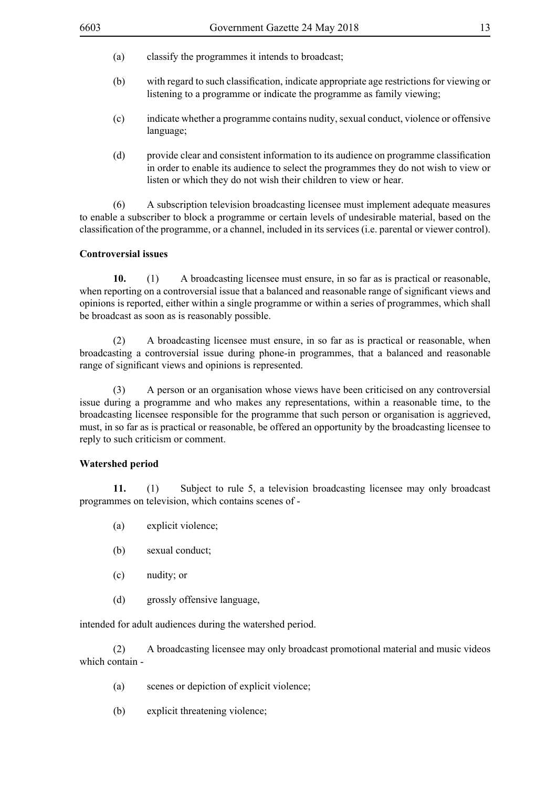- (b) with regard to such classification, indicate appropriate age restrictions for viewing or listening to a programme or indicate the programme as family viewing;
- (c) indicate whether a programme contains nudity, sexual conduct, violence or offensive language;
- (d) provide clear and consistent information to its audience on programme classification in order to enable its audience to select the programmes they do not wish to view or listen or which they do not wish their children to view or hear.

(6) A subscription television broadcasting licensee must implement adequate measures to enable a subscriber to block a programme or certain levels of undesirable material, based on the classification of the programme, or a channel, included in its services (i.e. parental or viewer control).

#### **Controversial issues**

**10.** (1) A broadcasting licensee must ensure, in so far as is practical or reasonable, when reporting on a controversial issue that a balanced and reasonable range of significant views and opinions is reported, either within a single programme or within a series of programmes, which shall be broadcast as soon as is reasonably possible.

(2) A broadcasting licensee must ensure, in so far as is practical or reasonable, when broadcasting a controversial issue during phone-in programmes, that a balanced and reasonable range of significant views and opinions is represented.

(3) A person or an organisation whose views have been criticised on any controversial issue during a programme and who makes any representations, within a reasonable time, to the broadcasting licensee responsible for the programme that such person or organisation is aggrieved, must, in so far as is practical or reasonable, be offered an opportunity by the broadcasting licensee to reply to such criticism or comment.

#### **Watershed period**

**11.** (1) Subject to rule 5, a television broadcasting licensee may only broadcast programmes on television, which contains scenes of -

- (a) explicit violence;
- (b) sexual conduct;
- (c) nudity; or
- (d) grossly offensive language,

intended for adult audiences during the watershed period.

(2) A broadcasting licensee may only broadcast promotional material and music videos which contain -

- (a) scenes or depiction of explicit violence;
- (b) explicit threatening violence;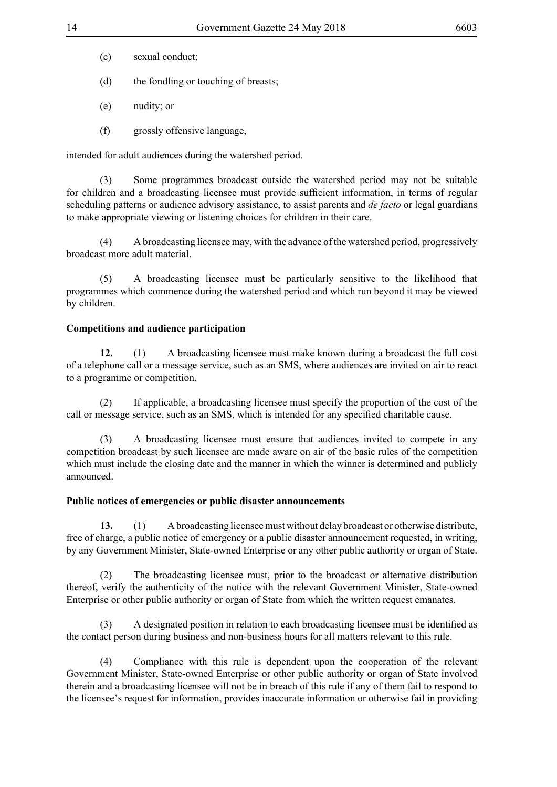- (c) sexual conduct;
- (d) the fondling or touching of breasts;
- (e) nudity; or
- (f) grossly offensive language,

intended for adult audiences during the watershed period.

(3) Some programmes broadcast outside the watershed period may not be suitable for children and a broadcasting licensee must provide sufficient information, in terms of regular scheduling patterns or audience advisory assistance, to assist parents and *de facto* or legal guardians to make appropriate viewing or listening choices for children in their care.

(4) A broadcasting licensee may, with the advance of the watershed period, progressively broadcast more adult material.

 (5) A broadcasting licensee must be particularly sensitive to the likelihood that programmes which commence during the watershed period and which run beyond it may be viewed by children.

#### **Competitions and audience participation**

**12.** (1) A broadcasting licensee must make known during a broadcast the full cost of a telephone call or a message service, such as an SMS, where audiences are invited on air to react to a programme or competition.

(2) If applicable, a broadcasting licensee must specify the proportion of the cost of the call or message service, such as an SMS, which is intended for any specified charitable cause.

(3) A broadcasting licensee must ensure that audiences invited to compete in any competition broadcast by such licensee are made aware on air of the basic rules of the competition which must include the closing date and the manner in which the winner is determined and publicly announced.

#### **Public notices of emergencies or public disaster announcements**

**13.** (1) A broadcasting licensee must without delay broadcast or otherwise distribute, free of charge, a public notice of emergency or a public disaster announcement requested, in writing, by any Government Minister, State-owned Enterprise or any other public authority or organ of State.

(2) The broadcasting licensee must, prior to the broadcast or alternative distribution thereof, verify the authenticity of the notice with the relevant Government Minister, State-owned Enterprise or other public authority or organ of State from which the written request emanates.

A designated position in relation to each broadcasting licensee must be identified as the contact person during business and non-business hours for all matters relevant to this rule.

(4) Compliance with this rule is dependent upon the cooperation of the relevant Government Minister, State-owned Enterprise or other public authority or organ of State involved therein and a broadcasting licensee will not be in breach of this rule if any of them fail to respond to the licensee's request for information, provides inaccurate information or otherwise fail in providing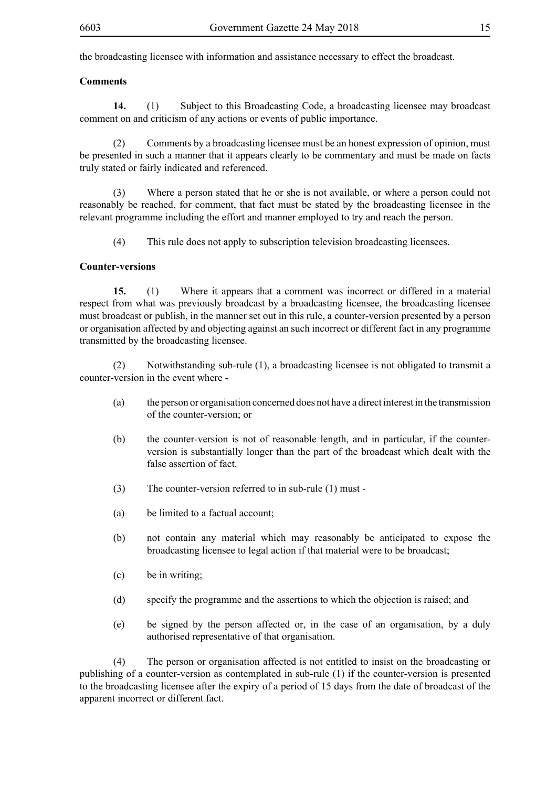the broadcasting licensee with information and assistance necessary to effect the broadcast.

#### **Comments**

**14.** (1) Subject to this Broadcasting Code, a broadcasting licensee may broadcast comment on and criticism of any actions or events of public importance.

(2) Comments by a broadcasting licensee must be an honest expression of opinion, must be presented in such a manner that it appears clearly to be commentary and must be made on facts truly stated or fairly indicated and referenced.

(3) Where a person stated that he or she is not available, or where a person could not reasonably be reached, for comment, that fact must be stated by the broadcasting licensee in the relevant programme including the effort and manner employed to try and reach the person.

(4) This rule does not apply to subscription television broadcasting licensees.

#### **Counter-versions**

**15.** (1) Where it appears that a comment was incorrect or differed in a material respect from what was previously broadcast by a broadcasting licensee, the broadcasting licensee must broadcast or publish, in the manner set out in this rule, a counter-version presented by a person or organisation affected by and objecting against an such incorrect or different fact in any programme transmitted by the broadcasting licensee.

(2) Notwithstanding sub-rule (1), a broadcasting licensee is not obligated to transmit a counter-version in the event where -

- (a) the person or organisation concerned does not have a direct interest in the transmission of the counter-version; or
- (b) the counter-version is not of reasonable length, and in particular, if the counterversion is substantially longer than the part of the broadcast which dealt with the false assertion of fact.
- (3) The counter-version referred to in sub-rule (1) must -
- (a) be limited to a factual account;
- (b) not contain any material which may reasonably be anticipated to expose the broadcasting licensee to legal action if that material were to be broadcast;
- (c) be in writing;
- (d) specify the programme and the assertions to which the objection is raised; and
- (e) be signed by the person affected or, in the case of an organisation, by a duly authorised representative of that organisation.

(4) The person or organisation affected is not entitled to insist on the broadcasting or publishing of a counter-version as contemplated in sub-rule (1) if the counter-version is presented to the broadcasting licensee after the expiry of a period of 15 days from the date of broadcast of the apparent incorrect or different fact.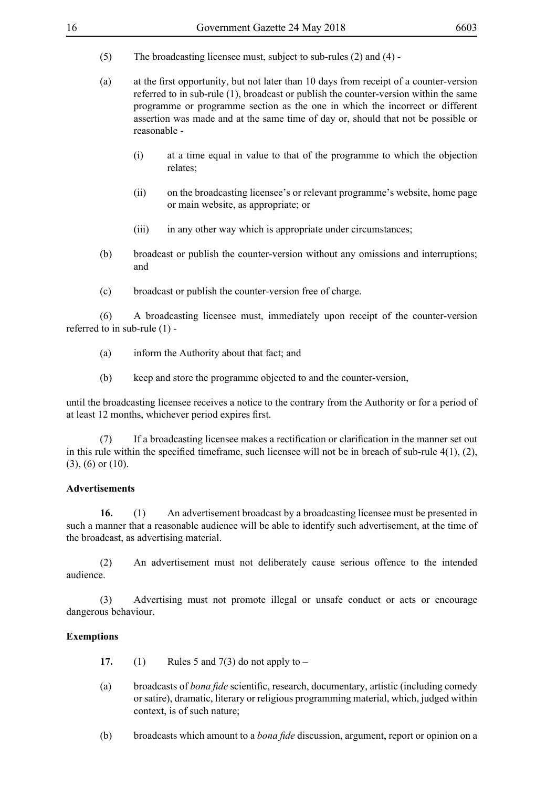- (5) The broadcasting licensee must, subject to sub-rules  $(2)$  and  $(4)$  -
- (a) at the first opportunity, but not later than 10 days from receipt of a counter-version referred to in sub-rule (1), broadcast or publish the counter-version within the same programme or programme section as the one in which the incorrect or different assertion was made and at the same time of day or, should that not be possible or reasonable -
	- (i) at a time equal in value to that of the programme to which the objection relates;
	- (ii) on the broadcasting licensee's or relevant programme's website, home page or main website, as appropriate; or
	- (iii) in any other way which is appropriate under circumstances;
- (b) broadcast or publish the counter-version without any omissions and interruptions; and
- (c) broadcast or publish the counter-version free of charge.

(6) A broadcasting licensee must, immediately upon receipt of the counter-version referred to in sub-rule (1) -

- (a) inform the Authority about that fact; and
- (b) keep and store the programme objected to and the counter-version,

until the broadcasting licensee receives a notice to the contrary from the Authority or for a period of at least 12 months, whichever period expires first.

 (7) If a broadcasting licensee makes a rectification or clarification in the manner set out in this rule within the specified timeframe, such licensee will not be in breach of sub-rule 4(1), (2), (3), (6) or (10).

#### **Advertisements**

**16.** (1) An advertisement broadcast by a broadcasting licensee must be presented in such a manner that a reasonable audience will be able to identify such advertisement, at the time of the broadcast, as advertising material.

(2) An advertisement must not deliberately cause serious offence to the intended audience.

(3) Advertising must not promote illegal or unsafe conduct or acts or encourage dangerous behaviour.

## **Exemptions**

- **17.** (1) Rules 5 and  $7(3)$  do not apply to –
- (a) broadcasts of *bona fide* scientific, research, documentary, artistic (including comedy or satire), dramatic, literary or religious programming material, which, judged within context, is of such nature;
- (b) broadcasts which amount to a *bona fide* discussion, argument, report or opinion on a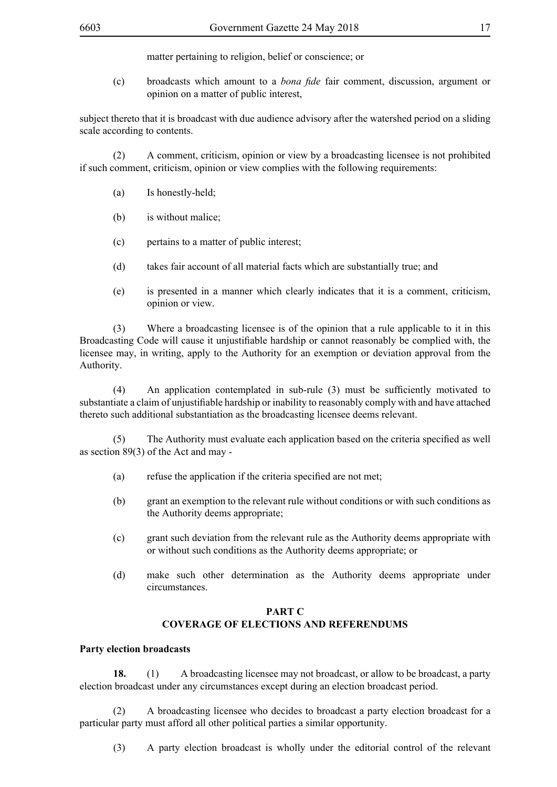matter pertaining to religion, belief or conscience; or

(c) broadcasts which amount to a *bona fide* fair comment, discussion, argument or opinion on a matter of public interest,

subject thereto that it is broadcast with due audience advisory after the watershed period on a sliding scale according to contents.

(2) A comment, criticism, opinion or view by a broadcasting licensee is not prohibited if such comment, criticism, opinion or view complies with the following requirements:

- (a) Is honestly-held;
- (b) is without malice;
- (c) pertains to a matter of public interest;
- (d) takes fair account of all material facts which are substantially true; and
- (e) is presented in a manner which clearly indicates that it is a comment, criticism, opinion or view.

(3) Where a broadcasting licensee is of the opinion that a rule applicable to it in this Broadcasting Code will cause it unjustifiable hardship or cannot reasonably be complied with, the licensee may, in writing, apply to the Authority for an exemption or deviation approval from the Authority.

 (4) An application contemplated in sub-rule (3) must be sufficiently motivated to substantiate a claim of unjustifiable hardship or inability to reasonably comply with and have attached thereto such additional substantiation as the broadcasting licensee deems relevant.

 (5) The Authority must evaluate each application based on the criteria specified as well as section 89(3) of the Act and may -

- (a) refuse the application if the criteria specified are not met:
- (b) grant an exemption to the relevant rule without conditions or with such conditions as the Authority deems appropriate;
- (c) grant such deviation from the relevant rule as the Authority deems appropriate with or without such conditions as the Authority deems appropriate; or
- (d) make such other determination as the Authority deems appropriate under circumstances.

## **PART C COVERAGE OF ELECTIONS AND REFERENDUMS**

#### **Party election broadcasts**

**18.** (1) A broadcasting licensee may not broadcast, or allow to be broadcast, a party election broadcast under any circumstances except during an election broadcast period.

(2) A broadcasting licensee who decides to broadcast a party election broadcast for a particular party must afford all other political parties a similar opportunity.

(3) A party election broadcast is wholly under the editorial control of the relevant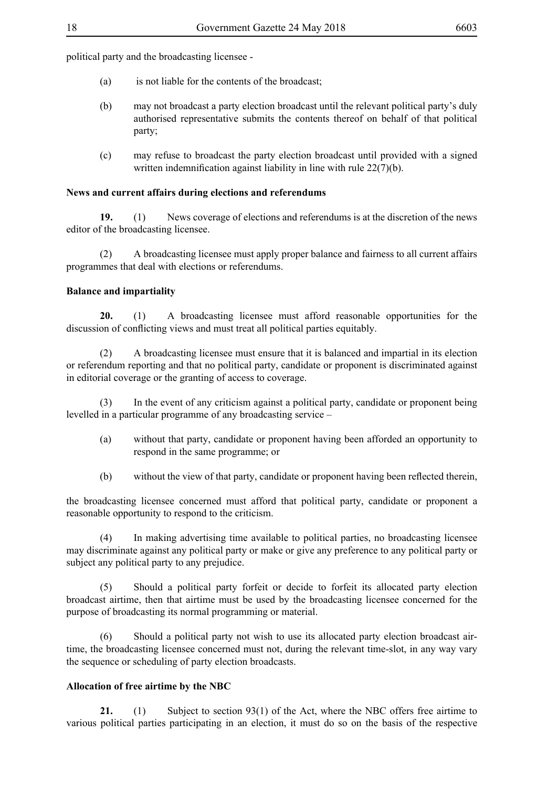political party and the broadcasting licensee -

- (a) is not liable for the contents of the broadcast;
- (b) may not broadcast a party election broadcast until the relevant political party's duly authorised representative submits the contents thereof on behalf of that political party;
- (c) may refuse to broadcast the party election broadcast until provided with a signed written indemnification against liability in line with rule 22(7)(b).

#### **News and current affairs during elections and referendums**

**19.** (1) News coverage of elections and referendums is at the discretion of the news editor of the broadcasting licensee.

(2) A broadcasting licensee must apply proper balance and fairness to all current affairs programmes that deal with elections or referendums.

#### **Balance and impartiality**

**20.** (1) A broadcasting licensee must afford reasonable opportunities for the discussion of conflicting views and must treat all political parties equitably.

(2) A broadcasting licensee must ensure that it is balanced and impartial in its election or referendum reporting and that no political party, candidate or proponent is discriminated against in editorial coverage or the granting of access to coverage.

(3) In the event of any criticism against a political party, candidate or proponent being levelled in a particular programme of any broadcasting service –

- (a) without that party, candidate or proponent having been afforded an opportunity to respond in the same programme; or
- (b) without the view of that party, candidate or proponent having been reflected therein,

the broadcasting licensee concerned must afford that political party, candidate or proponent a reasonable opportunity to respond to the criticism.

(4) In making advertising time available to political parties, no broadcasting licensee may discriminate against any political party or make or give any preference to any political party or subject any political party to any prejudice.

 (5) Should a political party forfeit or decide to forfeit its allocated party election broadcast airtime, then that airtime must be used by the broadcasting licensee concerned for the purpose of broadcasting its normal programming or material.

(6) Should a political party not wish to use its allocated party election broadcast airtime, the broadcasting licensee concerned must not, during the relevant time-slot, in any way vary the sequence or scheduling of party election broadcasts.

## **Allocation of free airtime by the NBC**

**21.** (1) Subject to section 93(1) of the Act, where the NBC offers free airtime to various political parties participating in an election, it must do so on the basis of the respective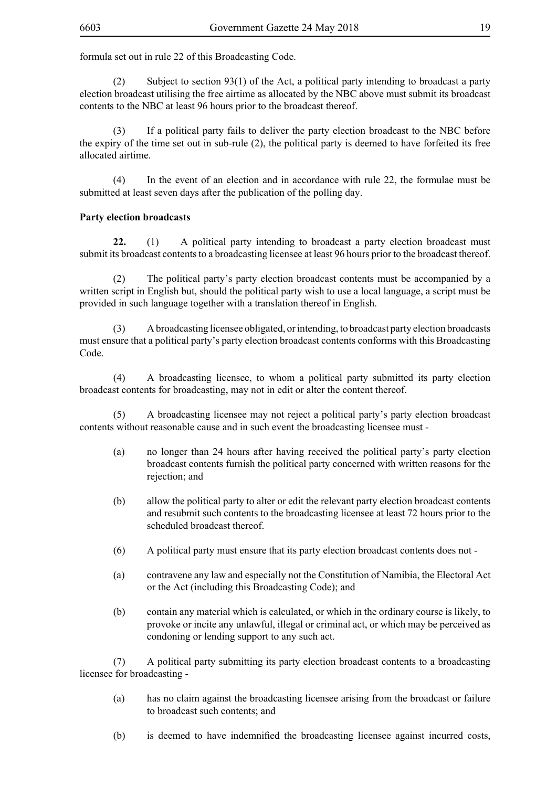formula set out in rule 22 of this Broadcasting Code.

(2) Subject to section 93(1) of the Act, a political party intending to broadcast a party election broadcast utilising the free airtime as allocated by the NBC above must submit its broadcast contents to the NBC at least 96 hours prior to the broadcast thereof.

(3) If a political party fails to deliver the party election broadcast to the NBC before the expiry of the time set out in sub-rule (2), the political party is deemed to have forfeited its free allocated airtime.

(4) In the event of an election and in accordance with rule 22, the formulae must be submitted at least seven days after the publication of the polling day.

## **Party election broadcasts**

**22.** (1) A political party intending to broadcast a party election broadcast must submit its broadcast contents to a broadcasting licensee at least 96 hours prior to the broadcast thereof.

(2) The political party's party election broadcast contents must be accompanied by a written script in English but, should the political party wish to use a local language, a script must be provided in such language together with a translation thereof in English.

(3) A broadcasting licensee obligated, or intending, to broadcast party election broadcasts must ensure that a political party's party election broadcast contents conforms with this Broadcasting Code.

(4) A broadcasting licensee, to whom a political party submitted its party election broadcast contents for broadcasting, may not in edit or alter the content thereof.

 (5) A broadcasting licensee may not reject a political party's party election broadcast contents without reasonable cause and in such event the broadcasting licensee must -

- (a) no longer than 24 hours after having received the political party's party election broadcast contents furnish the political party concerned with written reasons for the rejection; and
- (b) allow the political party to alter or edit the relevant party election broadcast contents and resubmit such contents to the broadcasting licensee at least 72 hours prior to the scheduled broadcast thereof.
- (6) A political party must ensure that its party election broadcast contents does not -
- (a) contravene any law and especially not the Constitution of Namibia, the Electoral Act or the Act (including this Broadcasting Code); and
- (b) contain any material which is calculated, or which in the ordinary course is likely, to provoke or incite any unlawful, illegal or criminal act, or which may be perceived as condoning or lending support to any such act.

(7) A political party submitting its party election broadcast contents to a broadcasting licensee for broadcasting -

- (a) has no claim against the broadcasting licensee arising from the broadcast or failure to broadcast such contents; and
- (b) is deemed to have indemnified the broadcasting licensee against incurred costs,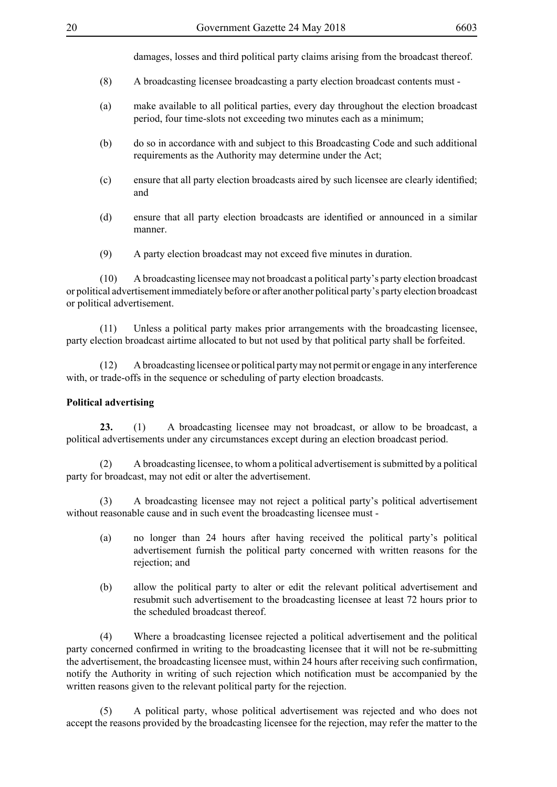damages, losses and third political party claims arising from the broadcast thereof.

- (8) A broadcasting licensee broadcasting a party election broadcast contents must -
- (a) make available to all political parties, every day throughout the election broadcast period, four time-slots not exceeding two minutes each as a minimum;
- (b) do so in accordance with and subject to this Broadcasting Code and such additional requirements as the Authority may determine under the Act;
- (c) ensure that all party election broadcasts aired by such licensee are clearly identified; and
- (d) ensure that all party election broadcasts are identified or announced in a similar manner.
- (9) A party election broadcast may not exceed five minutes in duration.

(10) A broadcasting licensee may not broadcast a political party's party election broadcast or political advertisement immediately before or after another political party's party election broadcast or political advertisement.

(11) Unless a political party makes prior arrangements with the broadcasting licensee, party election broadcast airtime allocated to but not used by that political party shall be forfeited.

(12) A broadcasting licensee or political party may not permit or engage in any interference with, or trade-offs in the sequence or scheduling of party election broadcasts.

#### **Political advertising**

**23.** (1) A broadcasting licensee may not broadcast, or allow to be broadcast, a political advertisements under any circumstances except during an election broadcast period.

(2) A broadcasting licensee, to whom a political advertisement is submitted by a political party for broadcast, may not edit or alter the advertisement.

(3) A broadcasting licensee may not reject a political party's political advertisement without reasonable cause and in such event the broadcasting licensee must -

- (a) no longer than 24 hours after having received the political party's political advertisement furnish the political party concerned with written reasons for the rejection; and
- (b) allow the political party to alter or edit the relevant political advertisement and resubmit such advertisement to the broadcasting licensee at least 72 hours prior to the scheduled broadcast thereof.

(4) Where a broadcasting licensee rejected a political advertisement and the political party concerned confirmed in writing to the broadcasting licensee that it will not be re-submitting the advertisement, the broadcasting licensee must, within 24 hours after receiving such confirmation, notify the Authority in writing of such rejection which notification must be accompanied by the written reasons given to the relevant political party for the rejection.

 (5) A political party, whose political advertisement was rejected and who does not accept the reasons provided by the broadcasting licensee for the rejection, may refer the matter to the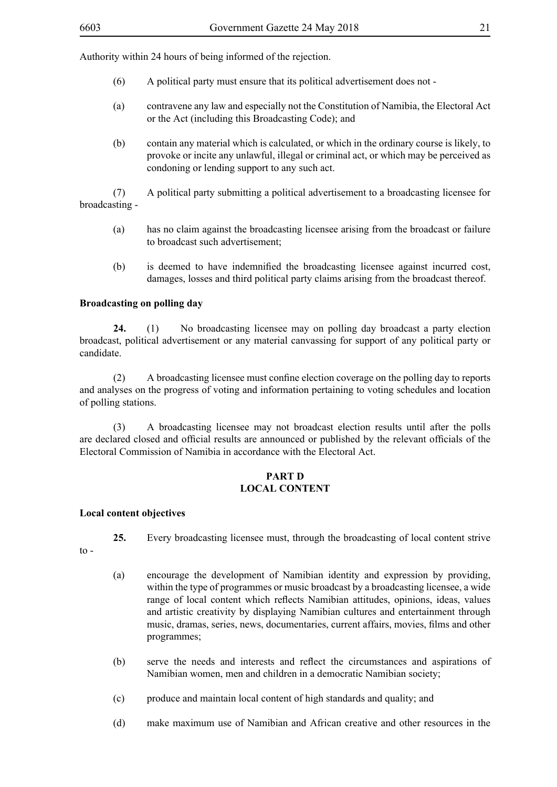Authority within 24 hours of being informed of the rejection.

- (6) A political party must ensure that its political advertisement does not -
- (a) contravene any law and especially not the Constitution of Namibia, the Electoral Act or the Act (including this Broadcasting Code); and
- (b) contain any material which is calculated, or which in the ordinary course is likely, to provoke or incite any unlawful, illegal or criminal act, or which may be perceived as condoning or lending support to any such act.

(7) A political party submitting a political advertisement to a broadcasting licensee for broadcasting -

- (a) has no claim against the broadcasting licensee arising from the broadcast or failure to broadcast such advertisement;
- (b) is deemed to have indemnified the broadcasting licensee against incurred cost, damages, losses and third political party claims arising from the broadcast thereof.

#### **Broadcasting on polling day**

**24.** (1) No broadcasting licensee may on polling day broadcast a party election broadcast, political advertisement or any material canvassing for support of any political party or candidate.

 (2) A broadcasting licensee must confine election coverage on the polling day to reports and analyses on the progress of voting and information pertaining to voting schedules and location of polling stations.

(3) A broadcasting licensee may not broadcast election results until after the polls are declared closed and official results are announced or published by the relevant officials of the Electoral Commission of Namibia in accordance with the Electoral Act.

## **PART D LOCAL CONTENT**

#### **Local content objectives**

- **25.** Every broadcasting licensee must, through the broadcasting of local content strive
- $to -$
- (a) encourage the development of Namibian identity and expression by providing, within the type of programmes or music broadcast by a broadcasting licensee, a wide range of local content which reflects Namibian attitudes, opinions, ideas, values and artistic creativity by displaying Namibian cultures and entertainment through music, dramas, series, news, documentaries, current affairs, movies, films and other programmes;
- (b) serve the needs and interests and reflect the circumstances and aspirations of Namibian women, men and children in a democratic Namibian society;
- (c) produce and maintain local content of high standards and quality; and
- (d) make maximum use of Namibian and African creative and other resources in the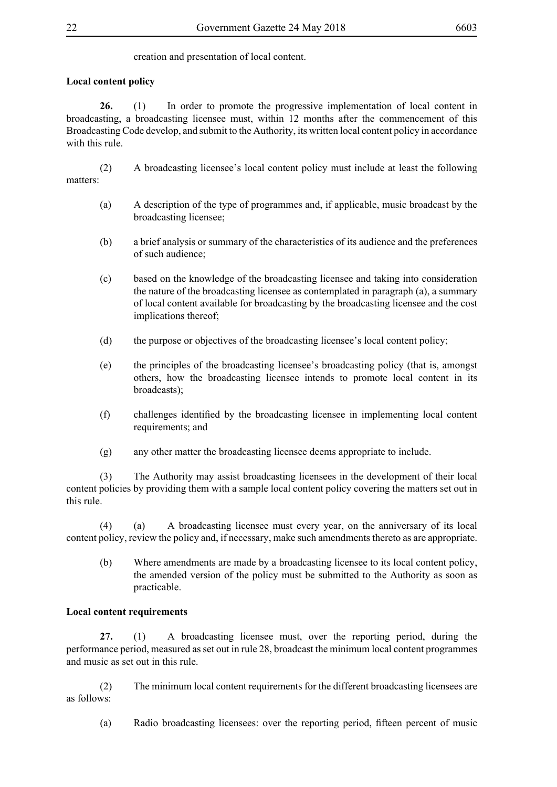creation and presentation of local content.

## **Local content policy**

**26.** (1) In order to promote the progressive implementation of local content in broadcasting, a broadcasting licensee must, within 12 months after the commencement of this Broadcasting Code develop, and submit to the Authority, its written local content policy in accordance with this rule.

(2) A broadcasting licensee's local content policy must include at least the following matters:

- (a) A description of the type of programmes and, if applicable, music broadcast by the broadcasting licensee;
- (b) a brief analysis or summary of the characteristics of its audience and the preferences of such audience;
- (c) based on the knowledge of the broadcasting licensee and taking into consideration the nature of the broadcasting licensee as contemplated in paragraph (a), a summary of local content available for broadcasting by the broadcasting licensee and the cost implications thereof;
- (d) the purpose or objectives of the broadcasting licensee's local content policy;
- (e) the principles of the broadcasting licensee's broadcasting policy (that is, amongst others, how the broadcasting licensee intends to promote local content in its broadcasts);
- (f) challenges identified by the broadcasting licensee in implementing local content requirements; and
- (g) any other matter the broadcasting licensee deems appropriate to include.

(3) The Authority may assist broadcasting licensees in the development of their local content policies by providing them with a sample local content policy covering the matters set out in this rule.

(4) (a) A broadcasting licensee must every year, on the anniversary of its local content policy, review the policy and, if necessary, make such amendments thereto as are appropriate.

(b) Where amendments are made by a broadcasting licensee to its local content policy, the amended version of the policy must be submitted to the Authority as soon as practicable.

## **Local content requirements**

**27.** (1) A broadcasting licensee must, over the reporting period, during the performance period, measured as set out in rule 28, broadcast the minimum local content programmes and music as set out in this rule.

(2) The minimum local content requirements for the different broadcasting licensees are as follows:

(a) Radio broadcasting licensees: over the reporting period, fifteen percent of music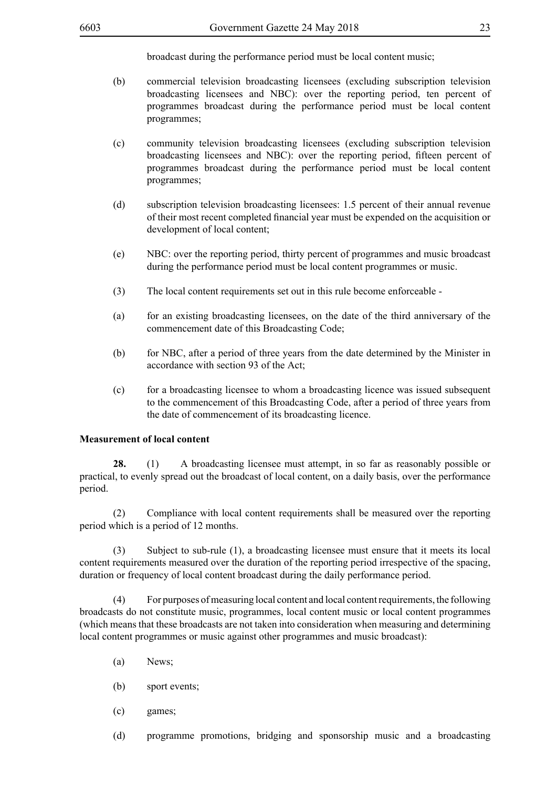broadcast during the performance period must be local content music;

- (b) commercial television broadcasting licensees (excluding subscription television broadcasting licensees and NBC): over the reporting period, ten percent of programmes broadcast during the performance period must be local content programmes;
- (c) community television broadcasting licensees (excluding subscription television broadcasting licensees and NBC): over the reporting period, fifteen percent of programmes broadcast during the performance period must be local content programmes;
- (d) subscription television broadcasting licensees: 1.5 percent of their annual revenue of their most recent completed financial year must be expended on the acquisition or development of local content;
- (e) NBC: over the reporting period, thirty percent of programmes and music broadcast during the performance period must be local content programmes or music.
- (3) The local content requirements set out in this rule become enforceable -
- (a) for an existing broadcasting licensees, on the date of the third anniversary of the commencement date of this Broadcasting Code;
- (b) for NBC, after a period of three years from the date determined by the Minister in accordance with section 93 of the Act;
- (c) for a broadcasting licensee to whom a broadcasting licence was issued subsequent to the commencement of this Broadcasting Code, after a period of three years from the date of commencement of its broadcasting licence.

#### **Measurement of local content**

**28.** (1) A broadcasting licensee must attempt, in so far as reasonably possible or practical, to evenly spread out the broadcast of local content, on a daily basis, over the performance period.

(2) Compliance with local content requirements shall be measured over the reporting period which is a period of 12 months.

(3) Subject to sub-rule (1), a broadcasting licensee must ensure that it meets its local content requirements measured over the duration of the reporting period irrespective of the spacing, duration or frequency of local content broadcast during the daily performance period.

(4) For purposes of measuring local content and local content requirements, the following broadcasts do not constitute music, programmes, local content music or local content programmes (which means that these broadcasts are not taken into consideration when measuring and determining local content programmes or music against other programmes and music broadcast):

- (a) News;
- (b) sport events;
- (c) games;
- (d) programme promotions, bridging and sponsorship music and a broadcasting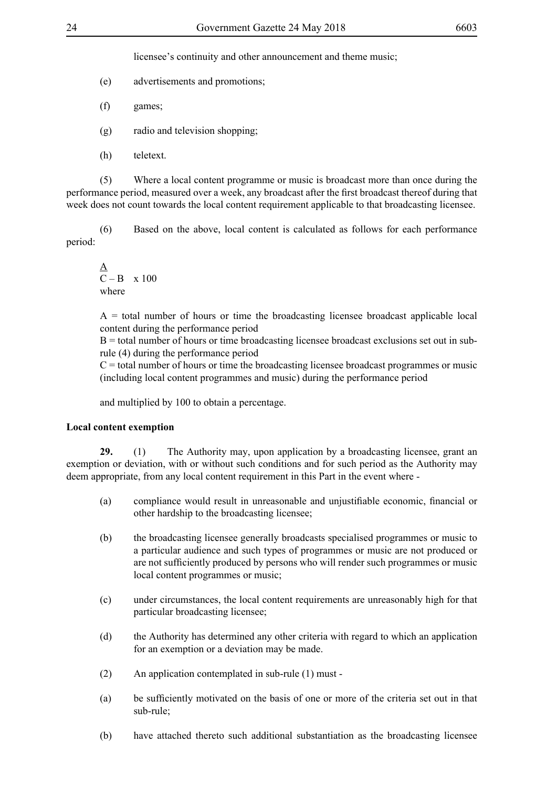licensee's continuity and other announcement and theme music;

- (e) advertisements and promotions;
- (f) games;
- (g) radio and television shopping;
- (h) teletext.

 (5) Where a local content programme or music is broadcast more than once during the performance period, measured over a week, any broadcast after the first broadcast thereof during that week does not count towards the local content requirement applicable to that broadcasting licensee.

(6) Based on the above, local content is calculated as follows for each performance period:

$$
\frac{A}{C - B} \times 100
$$
where

 $A =$  total number of hours or time the broadcasting licensee broadcast applicable local content during the performance period

B = total number of hours or time broadcasting licensee broadcast exclusions set out in subrule (4) during the performance period

 $C =$  total number of hours or time the broadcasting licensee broadcast programmes or music (including local content programmes and music) during the performance period

and multiplied by 100 to obtain a percentage.

#### **Local content exemption**

**29.** (1) The Authority may, upon application by a broadcasting licensee, grant an exemption or deviation, with or without such conditions and for such period as the Authority may deem appropriate, from any local content requirement in this Part in the event where -

- (a) compliance would result in unreasonable and unjustifiable economic, financial or other hardship to the broadcasting licensee;
- (b) the broadcasting licensee generally broadcasts specialised programmes or music to a particular audience and such types of programmes or music are not produced or are not sufficiently produced by persons who will render such programmes or music local content programmes or music;
- (c) under circumstances, the local content requirements are unreasonably high for that particular broadcasting licensee;
- (d) the Authority has determined any other criteria with regard to which an application for an exemption or a deviation may be made.
- (2) An application contemplated in sub-rule (1) must -
- (a) be sufficiently motivated on the basis of one or more of the criteria set out in that sub-rule;
- (b) have attached thereto such additional substantiation as the broadcasting licensee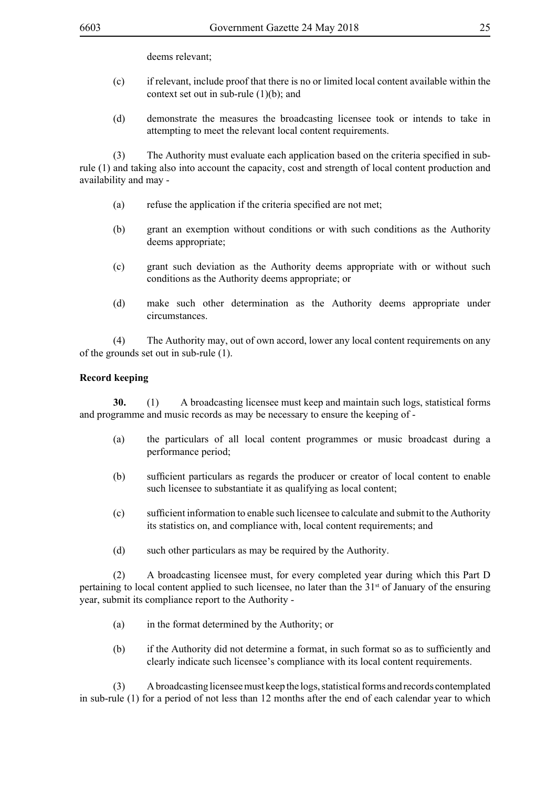deems relevant;

- (c) if relevant, include proof that there is no or limited local content available within the context set out in sub-rule (1)(b); and
- (d) demonstrate the measures the broadcasting licensee took or intends to take in attempting to meet the relevant local content requirements.

 (3) The Authority must evaluate each application based on the criteria specified in subrule (1) and taking also into account the capacity, cost and strength of local content production and availability and may -

- (a) refuse the application if the criteria specified are not met;
- (b) grant an exemption without conditions or with such conditions as the Authority deems appropriate;
- (c) grant such deviation as the Authority deems appropriate with or without such conditions as the Authority deems appropriate; or
- (d) make such other determination as the Authority deems appropriate under circumstances.

(4) The Authority may, out of own accord, lower any local content requirements on any of the grounds set out in sub-rule (1).

## **Record keeping**

**30.** (1) A broadcasting licensee must keep and maintain such logs, statistical forms and programme and music records as may be necessary to ensure the keeping of -

- (a) the particulars of all local content programmes or music broadcast during a performance period;
- (b) sufficient particulars as regards the producer or creator of local content to enable such licensee to substantiate it as qualifying as local content;
- (c) sufficient information to enable such licensee to calculate and submit to the Authority its statistics on, and compliance with, local content requirements; and
- (d) such other particulars as may be required by the Authority.

(2) A broadcasting licensee must, for every completed year during which this Part D pertaining to local content applied to such licensee, no later than the  $31<sup>st</sup>$  of January of the ensuring year, submit its compliance report to the Authority -

- (a) in the format determined by the Authority; or
- (b) if the Authority did not determine a format, in such format so as to sufficiently and clearly indicate such licensee's compliance with its local content requirements.

(3) A broadcasting licensee must keep the logs, statistical forms and records contemplated in sub-rule (1) for a period of not less than 12 months after the end of each calendar year to which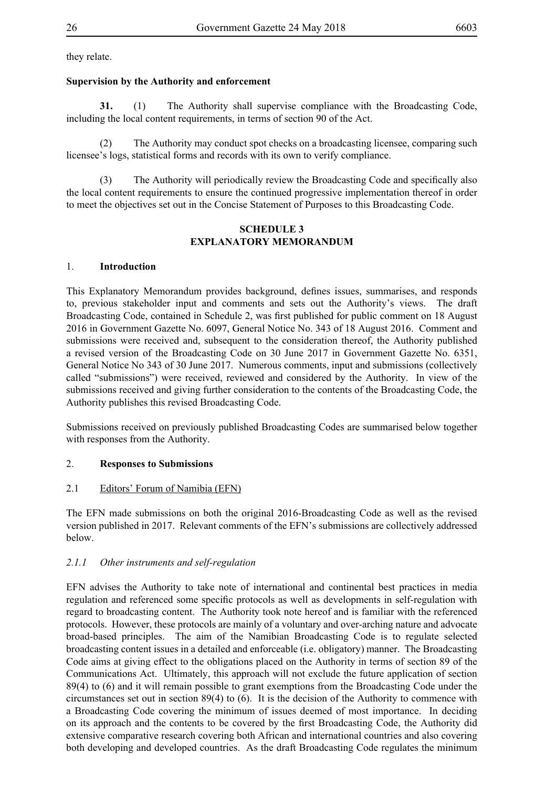they relate.

## **Supervision by the Authority and enforcement**

**31.** (1) The Authority shall supervise compliance with the Broadcasting Code, including the local content requirements, in terms of section 90 of the Act.

The Authority may conduct spot checks on a broadcasting licensee, comparing such licensee's logs, statistical forms and records with its own to verify compliance.

(3) The Authority will periodically review the Broadcasting Code and specifically also the local content requirements to ensure the continued progressive implementation thereof in order to meet the objectives set out in the Concise Statement of Purposes to this Broadcasting Code.

## **SCHEDULE 3 EXPLANATORY MEMORANDUM**

## 1. **Introduction**

This Explanatory Memorandum provides background, defines issues, summarises, and responds to, previous stakeholder input and comments and sets out the Authority's views. The draft Broadcasting Code, contained in Schedule 2, was first published for public comment on 18 August 2016 in Government Gazette No. 6097, General Notice No. 343 of 18 August 2016. Comment and submissions were received and, subsequent to the consideration thereof, the Authority published a revised version of the Broadcasting Code on 30 June 2017 in Government Gazette No. 6351, General Notice No 343 of 30 June 2017. Numerous comments, input and submissions (collectively called "submissions") were received, reviewed and considered by the Authority. In view of the submissions received and giving further consideration to the contents of the Broadcasting Code, the Authority publishes this revised Broadcasting Code.

Submissions received on previously published Broadcasting Codes are summarised below together with responses from the Authority.

## 2. **Responses to Submissions**

## 2.1 Editors' Forum of Namibia (EFN)

The EFN made submissions on both the original 2016-Broadcasting Code as well as the revised version published in 2017. Relevant comments of the EFN's submissions are collectively addressed below.

## *2.1.1 Other instruments and self-regulation*

EFN advises the Authority to take note of international and continental best practices in media regulation and referenced some specific protocols as well as developments in self-regulation with regard to broadcasting content. The Authority took note hereof and is familiar with the referenced protocols. However, these protocols are mainly of a voluntary and over-arching nature and advocate broad-based principles. The aim of the Namibian Broadcasting Code is to regulate selected broadcasting content issues in a detailed and enforceable (i.e. obligatory) manner. The Broadcasting Code aims at giving effect to the obligations placed on the Authority in terms of section 89 of the Communications Act. Ultimately, this approach will not exclude the future application of section 89(4) to (6) and it will remain possible to grant exemptions from the Broadcasting Code under the circumstances set out in section 89(4) to (6). It is the decision of the Authority to commence with a Broadcasting Code covering the minimum of issues deemed of most importance. In deciding on its approach and the contents to be covered by the first Broadcasting Code, the Authority did extensive comparative research covering both African and international countries and also covering both developing and developed countries. As the draft Broadcasting Code regulates the minimum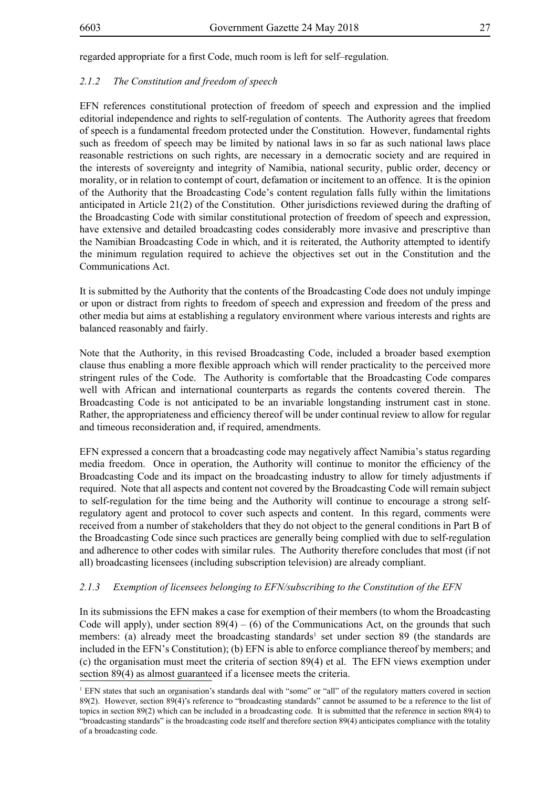regarded appropriate for a first Code, much room is left for self–regulation.

#### *2.1.2 The Constitution and freedom of speech*

EFN references constitutional protection of freedom of speech and expression and the implied editorial independence and rights to self-regulation of contents. The Authority agrees that freedom of speech is a fundamental freedom protected under the Constitution. However, fundamental rights such as freedom of speech may be limited by national laws in so far as such national laws place reasonable restrictions on such rights, are necessary in a democratic society and are required in the interests of sovereignty and integrity of Namibia, national security, public order, decency or morality, or in relation to contempt of court, defamation or incitement to an offence. It is the opinion of the Authority that the Broadcasting Code's content regulation falls fully within the limitations anticipated in Article 21(2) of the Constitution. Other jurisdictions reviewed during the drafting of the Broadcasting Code with similar constitutional protection of freedom of speech and expression, have extensive and detailed broadcasting codes considerably more invasive and prescriptive than the Namibian Broadcasting Code in which, and it is reiterated, the Authority attempted to identify the minimum regulation required to achieve the objectives set out in the Constitution and the Communications Act.

It is submitted by the Authority that the contents of the Broadcasting Code does not unduly impinge or upon or distract from rights to freedom of speech and expression and freedom of the press and other media but aims at establishing a regulatory environment where various interests and rights are balanced reasonably and fairly.

Note that the Authority, in this revised Broadcasting Code, included a broader based exemption clause thus enabling a more flexible approach which will render practicality to the perceived more stringent rules of the Code. The Authority is comfortable that the Broadcasting Code compares well with African and international counterparts as regards the contents covered therein. The Broadcasting Code is not anticipated to be an invariable longstanding instrument cast in stone. Rather, the appropriateness and efficiency thereof will be under continual review to allow for regular and timeous reconsideration and, if required, amendments.

EFN expressed a concern that a broadcasting code may negatively affect Namibia's status regarding media freedom. Once in operation, the Authority will continue to monitor the efficiency of the Broadcasting Code and its impact on the broadcasting industry to allow for timely adjustments if required. Note that all aspects and content not covered by the Broadcasting Code will remain subject to self-regulation for the time being and the Authority will continue to encourage a strong selfregulatory agent and protocol to cover such aspects and content. In this regard, comments were received from a number of stakeholders that they do not object to the general conditions in Part B of the Broadcasting Code since such practices are generally being complied with due to self-regulation and adherence to other codes with similar rules. The Authority therefore concludes that most (if not all) broadcasting licensees (including subscription television) are already compliant.

#### *2.1.3 Exemption of licensees belonging to EFN/subscribing to the Constitution of the EFN*

In its submissions the EFN makes a case for exemption of their members (to whom the Broadcasting Code will apply), under section  $89(4) - (6)$  of the Communications Act, on the grounds that such members: (a) already meet the broadcasting standards<sup>1</sup> set under section 89 (the standards are included in the EFN's Constitution); (b) EFN is able to enforce compliance thereof by members; and (c) the organisation must meet the criteria of section 89(4) et al. The EFN views exemption under section 89(4) as almost guaranteed if a licensee meets the criteria.

<sup>&</sup>lt;sup>1</sup> EFN states that such an organisation's standards deal with "some" or "all" of the regulatory matters covered in section 89(2). However, section 89(4)'s reference to "broadcasting standards" cannot be assumed to be a reference to the list of topics in section 89(2) which can be included in a broadcasting code. It is submitted that the reference in section 89(4) to "broadcasting standards" is the broadcasting code itself and therefore section 89(4) anticipates compliance with the totality of a broadcasting code.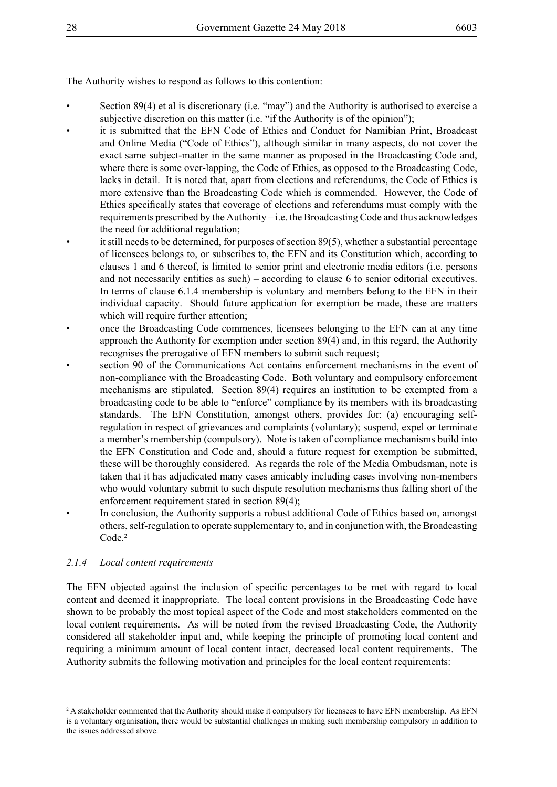The Authority wishes to respond as follows to this contention:

- Section 89(4) et al is discretionary (i.e. "may") and the Authority is authorised to exercise a subjective discretion on this matter (i.e. "if the Authority is of the opinion");
- it is submitted that the EFN Code of Ethics and Conduct for Namibian Print, Broadcast and Online Media ("Code of Ethics"), although similar in many aspects, do not cover the exact same subject-matter in the same manner as proposed in the Broadcasting Code and, where there is some over-lapping, the Code of Ethics, as opposed to the Broadcasting Code, lacks in detail. It is noted that, apart from elections and referendums, the Code of Ethics is more extensive than the Broadcasting Code which is commended. However, the Code of Ethics specifically states that coverage of elections and referendums must comply with the requirements prescribed by the Authority – i.e. the Broadcasting Code and thus acknowledges the need for additional regulation;
- it still needs to be determined, for purposes of section  $89(5)$ , whether a substantial percentage of licensees belongs to, or subscribes to, the EFN and its Constitution which, according to clauses 1 and 6 thereof, is limited to senior print and electronic media editors (i.e. persons and not necessarily entities as such) – according to clause 6 to senior editorial executives. In terms of clause 6.1.4 membership is voluntary and members belong to the EFN in their individual capacity. Should future application for exemption be made, these are matters which will require further attention;
- once the Broadcasting Code commences, licensees belonging to the EFN can at any time approach the Authority for exemption under section 89(4) and, in this regard, the Authority recognises the prerogative of EFN members to submit such request;
- section 90 of the Communications Act contains enforcement mechanisms in the event of non-compliance with the Broadcasting Code. Both voluntary and compulsory enforcement mechanisms are stipulated. Section 89(4) requires an institution to be exempted from a broadcasting code to be able to "enforce" compliance by its members with its broadcasting standards. The EFN Constitution, amongst others, provides for: (a) encouraging selfregulation in respect of grievances and complaints (voluntary); suspend, expel or terminate a member's membership (compulsory). Note is taken of compliance mechanisms build into the EFN Constitution and Code and, should a future request for exemption be submitted, these will be thoroughly considered. As regards the role of the Media Ombudsman, note is taken that it has adjudicated many cases amicably including cases involving non-members who would voluntary submit to such dispute resolution mechanisms thus falling short of the enforcement requirement stated in section 89(4);
- In conclusion, the Authority supports a robust additional Code of Ethics based on, amongst others, self-regulation to operate supplementary to, and in conjunction with, the Broadcasting Code.<sup>2</sup>

## *2.1.4 Local content requirements*

The EFN objected against the inclusion of specific percentages to be met with regard to local content and deemed it inappropriate. The local content provisions in the Broadcasting Code have shown to be probably the most topical aspect of the Code and most stakeholders commented on the local content requirements. As will be noted from the revised Broadcasting Code, the Authority considered all stakeholder input and, while keeping the principle of promoting local content and requiring a minimum amount of local content intact, decreased local content requirements. The Authority submits the following motivation and principles for the local content requirements:

<sup>&</sup>lt;sup>2</sup> A stakeholder commented that the Authority should make it compulsory for licensees to have EFN membership. As EFN is a voluntary organisation, there would be substantial challenges in making such membership compulsory in addition to the issues addressed above.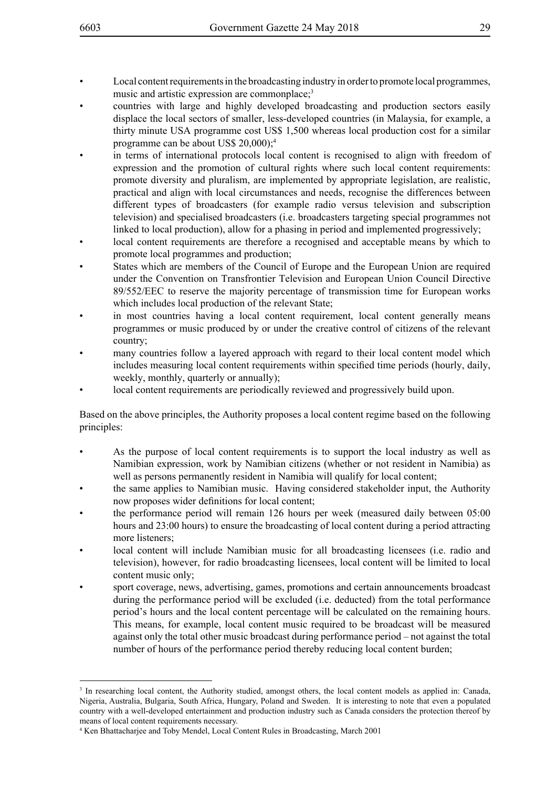- Local content requirements in the broadcasting industry in order to promote local programmes, music and artistic expression are commonplace;<sup>3</sup>
- countries with large and highly developed broadcasting and production sectors easily displace the local sectors of smaller, less-developed countries (in Malaysia, for example, a thirty minute USA programme cost US\$ 1,500 whereas local production cost for a similar programme can be about US\$ 20,000);<sup>4</sup>
- in terms of international protocols local content is recognised to align with freedom of expression and the promotion of cultural rights where such local content requirements: promote diversity and pluralism, are implemented by appropriate legislation, are realistic, practical and align with local circumstances and needs, recognise the differences between different types of broadcasters (for example radio versus television and subscription television) and specialised broadcasters (i.e. broadcasters targeting special programmes not linked to local production), allow for a phasing in period and implemented progressively;
- local content requirements are therefore a recognised and acceptable means by which to promote local programmes and production;
- States which are members of the Council of Europe and the European Union are required under the Convention on Transfrontier Television and European Union Council Directive 89/552/EEC to reserve the majority percentage of transmission time for European works which includes local production of the relevant State;
- in most countries having a local content requirement, local content generally means programmes or music produced by or under the creative control of citizens of the relevant country;
- many countries follow a layered approach with regard to their local content model which includes measuring local content requirements within specified time periods (hourly, daily, weekly, monthly, quarterly or annually);
- local content requirements are periodically reviewed and progressively build upon.

Based on the above principles, the Authority proposes a local content regime based on the following principles:

- As the purpose of local content requirements is to support the local industry as well as Namibian expression, work by Namibian citizens (whether or not resident in Namibia) as well as persons permanently resident in Namibia will qualify for local content;
- the same applies to Namibian music. Having considered stakeholder input, the Authority now proposes wider definitions for local content;
- the performance period will remain 126 hours per week (measured daily between 05:00 hours and 23:00 hours) to ensure the broadcasting of local content during a period attracting more listeners;
- local content will include Namibian music for all broadcasting licensees (*i.e.* radio and television), however, for radio broadcasting licensees, local content will be limited to local content music only;
- sport coverage, news, advertising, games, promotions and certain announcements broadcast during the performance period will be excluded (i.e. deducted) from the total performance period's hours and the local content percentage will be calculated on the remaining hours. This means, for example, local content music required to be broadcast will be measured against only the total other music broadcast during performance period – not against the total number of hours of the performance period thereby reducing local content burden;

<sup>&</sup>lt;sup>3</sup> In researching local content, the Authority studied, amongst others, the local content models as applied in: Canada, Nigeria, Australia, Bulgaria, South Africa, Hungary, Poland and Sweden. It is interesting to note that even a populated country with a well-developed entertainment and production industry such as Canada considers the protection thereof by means of local content requirements necessary.

<sup>4</sup> Ken Bhattacharjee and Toby Mendel, Local Content Rules in Broadcasting, March 2001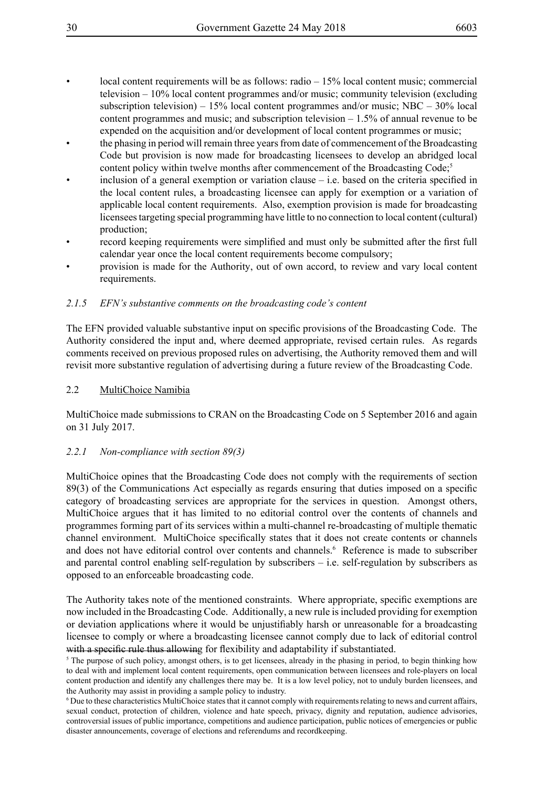- local content requirements will be as follows: radio  $-15%$  local content music; commercial television – 10% local content programmes and/or music; community television (excluding subscription television) – 15% local content programmes and/or music; NBC – 30% local content programmes and music; and subscription television – 1.5% of annual revenue to be expended on the acquisition and/or development of local content programmes or music;
- the phasing in period will remain three years from date of commencement of the Broadcasting Code but provision is now made for broadcasting licensees to develop an abridged local content policy within twelve months after commencement of the Broadcasting Code;<sup>5</sup>
- inclusion of a general exemption or variation clause  $-$  i.e. based on the criteria specified in the local content rules, a broadcasting licensee can apply for exemption or a variation of applicable local content requirements. Also, exemption provision is made for broadcasting licensees targeting special programming have little to no connection to local content (cultural) production;
- record keeping requirements were simplified and must only be submitted after the first full calendar year once the local content requirements become compulsory;
- provision is made for the Authority, out of own accord, to review and vary local content requirements.

## *2.1.5 EFN's substantive comments on the broadcasting code's content*

The EFN provided valuable substantive input on specific provisions of the Broadcasting Code. The Authority considered the input and, where deemed appropriate, revised certain rules. As regards comments received on previous proposed rules on advertising, the Authority removed them and will revisit more substantive regulation of advertising during a future review of the Broadcasting Code.

## 2.2 MultiChoice Namibia

MultiChoice made submissions to CRAN on the Broadcasting Code on 5 September 2016 and again on 31 July 2017.

## *2.2.1 Non-compliance with section 89(3)*

MultiChoice opines that the Broadcasting Code does not comply with the requirements of section 89(3) of the Communications Act especially as regards ensuring that duties imposed on a specific category of broadcasting services are appropriate for the services in question. Amongst others, MultiChoice argues that it has limited to no editorial control over the contents of channels and programmes forming part of its services within a multi-channel re-broadcasting of multiple thematic channel environment. MultiChoice specifically states that it does not create contents or channels and does not have editorial control over contents and channels.<sup>6</sup> Reference is made to subscriber and parental control enabling self-regulation by subscribers – i.e. self-regulation by subscribers as opposed to an enforceable broadcasting code.

The Authority takes note of the mentioned constraints. Where appropriate, specific exemptions are now included in the Broadcasting Code. Additionally, a new rule is included providing for exemption or deviation applications where it would be unjustifiably harsh or unreasonable for a broadcasting licensee to comply or where a broadcasting licensee cannot comply due to lack of editorial control with a specific rule thus allowing for flexibility and adaptability if substantiated.

<sup>5</sup> The purpose of such policy, amongst others, is to get licensees, already in the phasing in period, to begin thinking how to deal with and implement local content requirements, open communication between licensees and role-players on local content production and identify any challenges there may be. It is a low level policy, not to unduly burden licensees, and the Authority may assist in providing a sample policy to industry.

6 Due to these characteristics MultiChoice states that it cannot comply with requirements relating to news and current affairs, sexual conduct, protection of children, violence and hate speech, privacy, dignity and reputation, audience advisories, controversial issues of public importance, competitions and audience participation, public notices of emergencies or public disaster announcements, coverage of elections and referendums and recordkeeping.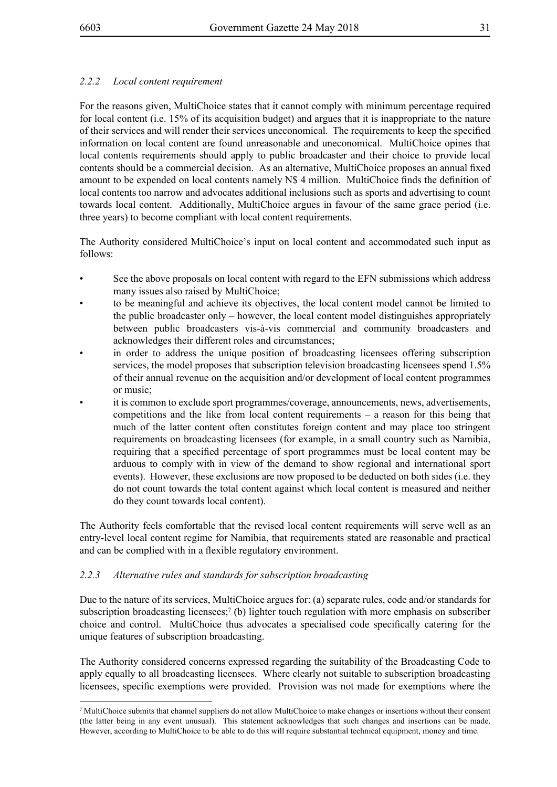## *2.2.2 Local content requirement*

For the reasons given, MultiChoice states that it cannot comply with minimum percentage required for local content (i.e. 15% of its acquisition budget) and argues that it is inappropriate to the nature of their services and will render their services uneconomical. The requirements to keep the specified information on local content are found unreasonable and uneconomical. MultiChoice opines that local contents requirements should apply to public broadcaster and their choice to provide local contents should be a commercial decision. As an alternative, MultiChoice proposes an annual fixed amount to be expended on local contents namely N\$ 4 million. MultiChoice finds the definition of local contents too narrow and advocates additional inclusions such as sports and advertising to count towards local content. Additionally, MultiChoice argues in favour of the same grace period (i.e. three years) to become compliant with local content requirements.

The Authority considered MultiChoice's input on local content and accommodated such input as follows:

- See the above proposals on local content with regard to the EFN submissions which address many issues also raised by MultiChoice;
- to be meaningful and achieve its objectives, the local content model cannot be limited to the public broadcaster only – however, the local content model distinguishes appropriately between public broadcasters vis-à-vis commercial and community broadcasters and acknowledges their different roles and circumstances;
- in order to address the unique position of broadcasting licensees offering subscription services, the model proposes that subscription television broadcasting licensees spend 1.5% of their annual revenue on the acquisition and/or development of local content programmes or music;
- it is common to exclude sport programmes/coverage, announcements, news, advertisements, competitions and the like from local content requirements – a reason for this being that much of the latter content often constitutes foreign content and may place too stringent requirements on broadcasting licensees (for example, in a small country such as Namibia, requiring that a specified percentage of sport programmes must be local content may be arduous to comply with in view of the demand to show regional and international sport events). However, these exclusions are now proposed to be deducted on both sides (i.e. they do not count towards the total content against which local content is measured and neither do they count towards local content).

The Authority feels comfortable that the revised local content requirements will serve well as an entry-level local content regime for Namibia, that requirements stated are reasonable and practical and can be complied with in a flexible regulatory environment.

## *2.2.3 Alternative rules and standards for subscription broadcasting*

Due to the nature of its services, MultiChoice argues for: (a) separate rules, code and/or standards for subscription broadcasting licensees;<sup>7</sup> (b) lighter touch regulation with more emphasis on subscriber choice and control. MultiChoice thus advocates a specialised code specifically catering for the unique features of subscription broadcasting.

The Authority considered concerns expressed regarding the suitability of the Broadcasting Code to apply equally to all broadcasting licensees. Where clearly not suitable to subscription broadcasting licensees, specific exemptions were provided. Provision was not made for exemptions where the

<sup>7</sup> MultiChoice submits that channel suppliers do not allow MultiChoice to make changes or insertions without their consent (the latter being in any event unusual). This statement acknowledges that such changes and insertions can be made. However, according to MultiChoice to be able to do this will require substantial technical equipment, money and time.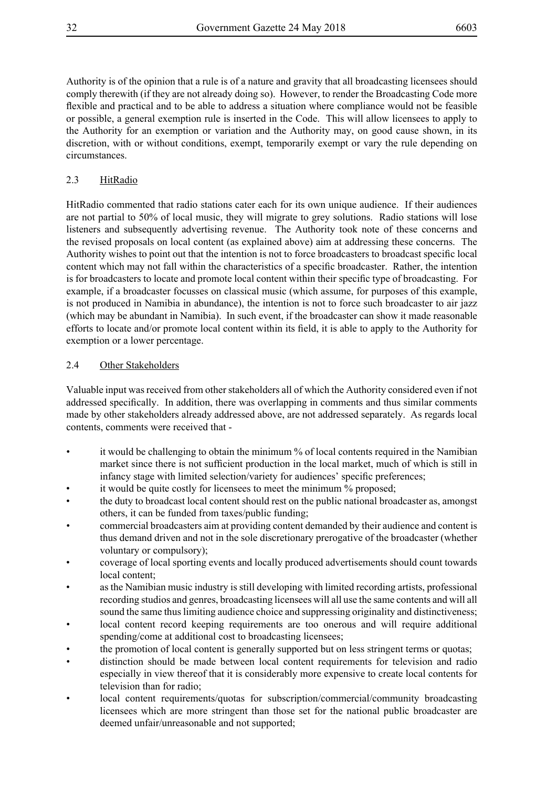Authority is of the opinion that a rule is of a nature and gravity that all broadcasting licensees should comply therewith (if they are not already doing so). However, to render the Broadcasting Code more flexible and practical and to be able to address a situation where compliance would not be feasible or possible, a general exemption rule is inserted in the Code. This will allow licensees to apply to the Authority for an exemption or variation and the Authority may, on good cause shown, in its discretion, with or without conditions, exempt, temporarily exempt or vary the rule depending on circumstances.

## 2.3 HitRadio

HitRadio commented that radio stations cater each for its own unique audience. If their audiences are not partial to 50% of local music, they will migrate to grey solutions. Radio stations will lose listeners and subsequently advertising revenue. The Authority took note of these concerns and the revised proposals on local content (as explained above) aim at addressing these concerns. The Authority wishes to point out that the intention is not to force broadcasters to broadcast specific local content which may not fall within the characteristics of a specific broadcaster. Rather, the intention is for broadcasters to locate and promote local content within their specific type of broadcasting. For example, if a broadcaster focusses on classical music (which assume, for purposes of this example, is not produced in Namibia in abundance), the intention is not to force such broadcaster to air jazz (which may be abundant in Namibia). In such event, if the broadcaster can show it made reasonable efforts to locate and/or promote local content within its field, it is able to apply to the Authority for exemption or a lower percentage.

## 2.4 Other Stakeholders

Valuable input was received from other stakeholders all of which the Authority considered even if not addressed specifically. In addition, there was overlapping in comments and thus similar comments made by other stakeholders already addressed above, are not addressed separately. As regards local contents, comments were received that -

- it would be challenging to obtain the minimum % of local contents required in the Namibian market since there is not sufficient production in the local market, much of which is still in infancy stage with limited selection/variety for audiences' specific preferences;
- it would be quite costly for licensees to meet the minimum % proposed;
- the duty to broadcast local content should rest on the public national broadcaster as, amongst others, it can be funded from taxes/public funding;
- commercial broadcasters aim at providing content demanded by their audience and content is thus demand driven and not in the sole discretionary prerogative of the broadcaster (whether voluntary or compulsory);
- coverage of local sporting events and locally produced advertisements should count towards local content;
- as the Namibian music industry is still developing with limited recording artists, professional recording studios and genres, broadcasting licensees will all use the same contents and will all sound the same thus limiting audience choice and suppressing originality and distinctiveness;
- local content record keeping requirements are too onerous and will require additional spending/come at additional cost to broadcasting licensees;
- the promotion of local content is generally supported but on less stringent terms or quotas;
- distinction should be made between local content requirements for television and radio especially in view thereof that it is considerably more expensive to create local contents for television than for radio;
- local content requirements/quotas for subscription/commercial/community broadcasting licensees which are more stringent than those set for the national public broadcaster are deemed unfair/unreasonable and not supported;